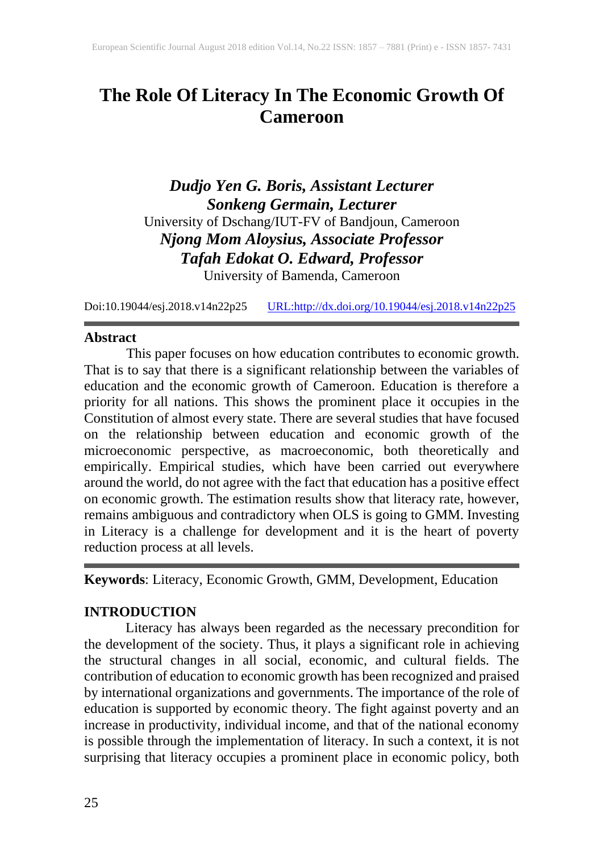# **The Role Of Literacy In The Economic Growth Of Cameroon**

*Dudjo Yen G. Boris, Assistant Lecturer Sonkeng Germain, Lecturer* University of Dschang/IUT-FV of Bandjoun, Cameroon *Njong Mom Aloysius, Associate Professor Tafah Edokat O. Edward, Professor* University of Bamenda, Cameroon

Doi:10.19044/esj.2018.v14n22p25 [URL:http://dx.doi.org/10.19044/esj.2018.v14n22p25](http://dx.doi.org/10.19044/esj.2018.v14n22p25)

#### **Abstract**

This paper focuses on how education contributes to economic growth. That is to say that there is a significant relationship between the variables of education and the economic growth of Cameroon. Education is therefore a priority for all nations. This shows the prominent place it occupies in the Constitution of almost every state. There are several studies that have focused on the relationship between education and economic growth of the microeconomic perspective, as macroeconomic, both theoretically and empirically. Empirical studies, which have been carried out everywhere around the world, do not agree with the fact that education has a positive effect on economic growth. The estimation results show that literacy rate, however, remains ambiguous and contradictory when OLS is going to GMM. Investing in Literacy is a challenge for development and it is the heart of poverty reduction process at all levels.

**Keywords**: Literacy, Economic Growth, GMM, Development, Education

## **INTRODUCTION**

Literacy has always been regarded as the necessary precondition for the development of the society. Thus, it plays a significant role in achieving the structural changes in all social, economic, and cultural fields. The contribution of education to economic growth has been recognized and praised by international organizations and governments. The importance of the role of education is supported by economic theory. The fight against poverty and an increase in productivity, individual income, and that of the national economy is possible through the implementation of literacy. In such a context, it is not surprising that literacy occupies a prominent place in economic policy, both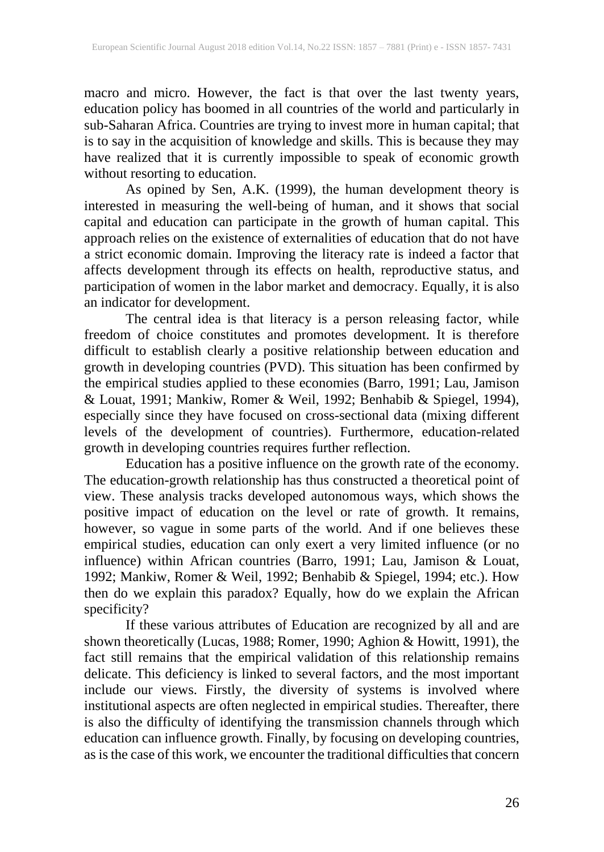macro and micro. However, the fact is that over the last twenty years, education policy has boomed in all countries of the world and particularly in sub-Saharan Africa. Countries are trying to invest more in human capital; that is to say in the acquisition of knowledge and skills. This is because they may have realized that it is currently impossible to speak of economic growth without resorting to education.

As opined by Sen, A.K. (1999), the human development theory is interested in measuring the well-being of human, and it shows that social capital and education can participate in the growth of human capital. This approach relies on the existence of externalities of education that do not have a strict economic domain. Improving the literacy rate is indeed a factor that affects development through its effects on health, reproductive status, and participation of women in the labor market and democracy. Equally, it is also an indicator for development.

The central idea is that literacy is a person releasing factor, while freedom of choice constitutes and promotes development. It is therefore difficult to establish clearly a positive relationship between education and growth in developing countries (PVD). This situation has been confirmed by the empirical studies applied to these economies (Barro, 1991; Lau, Jamison & Louat, 1991; Mankiw, Romer & Weil, 1992; Benhabib & Spiegel, 1994), especially since they have focused on cross-sectional data (mixing different levels of the development of countries). Furthermore, education-related growth in developing countries requires further reflection.

Education has a positive influence on the growth rate of the economy. The education-growth relationship has thus constructed a theoretical point of view. These analysis tracks developed autonomous ways, which shows the positive impact of education on the level or rate of growth. It remains, however, so vague in some parts of the world. And if one believes these empirical studies, education can only exert a very limited influence (or no influence) within African countries (Barro, 1991; Lau, Jamison & Louat, 1992; Mankiw, Romer & Weil, 1992; Benhabib & Spiegel, 1994; etc.). How then do we explain this paradox? Equally, how do we explain the African specificity?

If these various attributes of Education are recognized by all and are shown theoretically (Lucas, 1988; Romer, 1990; Aghion & Howitt, 1991), the fact still remains that the empirical validation of this relationship remains delicate. This deficiency is linked to several factors, and the most important include our views. Firstly, the diversity of systems is involved where institutional aspects are often neglected in empirical studies. Thereafter, there is also the difficulty of identifying the transmission channels through which education can influence growth. Finally, by focusing on developing countries, as is the case of this work, we encounter the traditional difficulties that concern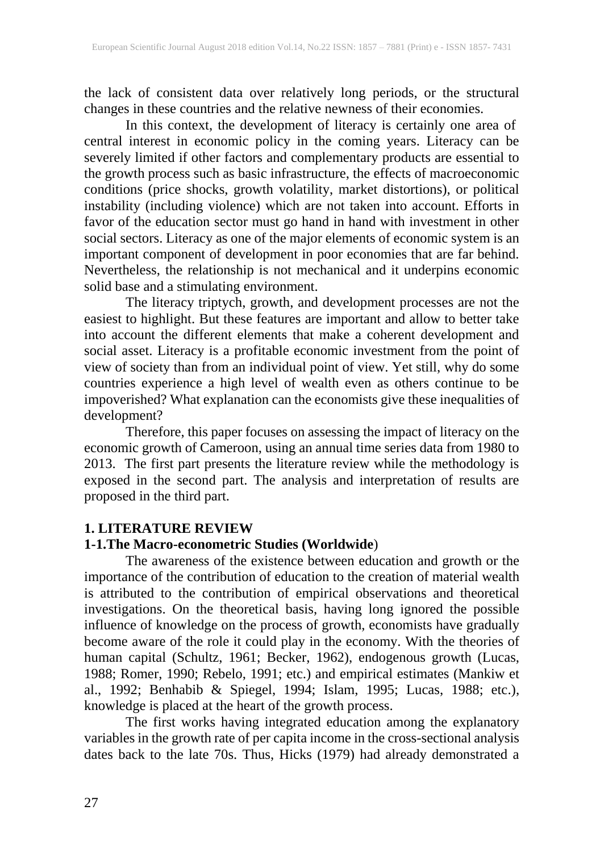the lack of consistent data over relatively long periods, or the structural changes in these countries and the relative newness of their economies.

In this context, the development of literacy is certainly one area of central interest in economic policy in the coming years. Literacy can be severely limited if other factors and complementary products are essential to the growth process such as basic infrastructure, the effects of macroeconomic conditions (price shocks, growth volatility, market distortions), or political instability (including violence) which are not taken into account. Efforts in favor of the education sector must go hand in hand with investment in other social sectors. Literacy as one of the major elements of economic system is an important component of development in poor economies that are far behind. Nevertheless, the relationship is not mechanical and it underpins economic solid base and a stimulating environment.

The literacy triptych, growth, and development processes are not the easiest to highlight. But these features are important and allow to better take into account the different elements that make a coherent development and social asset. Literacy is a profitable economic investment from the point of view of society than from an individual point of view. Yet still, why do some countries experience a high level of wealth even as others continue to be impoverished? What explanation can the economists give these inequalities of development?

Therefore, this paper focuses on assessing the impact of literacy on the economic growth of Cameroon, using an annual time series data from 1980 to 2013. The first part presents the literature review while the methodology is exposed in the second part. The analysis and interpretation of results are proposed in the third part.

## **1. LITERATURE REVIEW**

## **1-1.The Macro-econometric Studies (Worldwide**)

The awareness of the existence between education and growth or the importance of the contribution of education to the creation of material wealth is attributed to the contribution of empirical observations and theoretical investigations. On the theoretical basis, having long ignored the possible influence of knowledge on the process of growth, economists have gradually become aware of the role it could play in the economy. With the theories of human capital (Schultz, 1961; Becker, 1962), endogenous growth (Lucas, 1988; Romer, 1990; Rebelo, 1991; etc.) and empirical estimates (Mankiw et al., 1992; Benhabib & Spiegel, 1994; Islam, 1995; Lucas, 1988; etc.), knowledge is placed at the heart of the growth process.

The first works having integrated education among the explanatory variables in the growth rate of per capita income in the cross-sectional analysis dates back to the late 70s. Thus, Hicks (1979) had already demonstrated a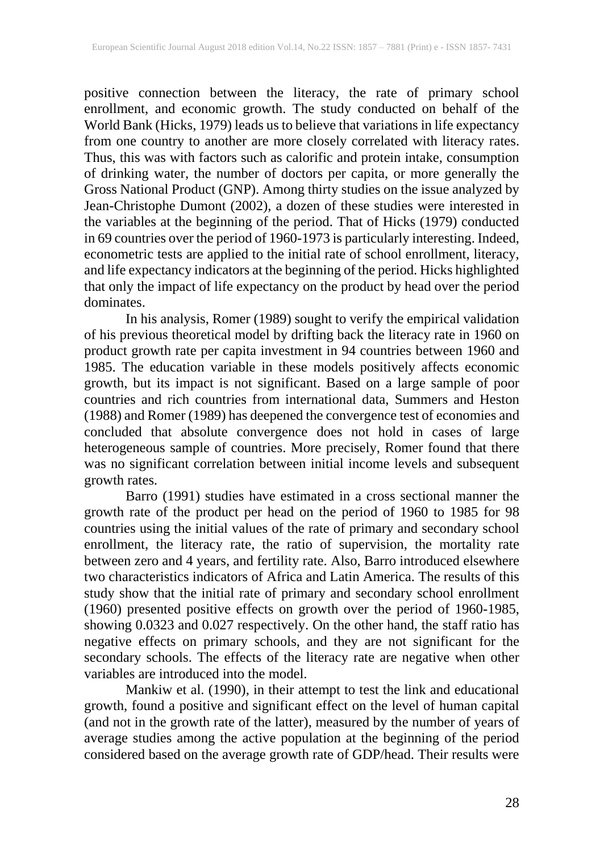positive connection between the literacy, the rate of primary school enrollment, and economic growth. The study conducted on behalf of the World Bank (Hicks, 1979) leads us to believe that variations in life expectancy from one country to another are more closely correlated with literacy rates. Thus, this was with factors such as calorific and protein intake, consumption of drinking water, the number of doctors per capita, or more generally the Gross National Product (GNP). Among thirty studies on the issue analyzed by Jean-Christophe Dumont (2002), a dozen of these studies were interested in the variables at the beginning of the period. That of Hicks (1979) conducted in 69 countries over the period of 1960-1973 is particularly interesting. Indeed, econometric tests are applied to the initial rate of school enrollment, literacy, and life expectancy indicators at the beginning of the period. Hicks highlighted that only the impact of life expectancy on the product by head over the period dominates.

In his analysis, Romer (1989) sought to verify the empirical validation of his previous theoretical model by drifting back the literacy rate in 1960 on product growth rate per capita investment in 94 countries between 1960 and 1985. The education variable in these models positively affects economic growth, but its impact is not significant. Based on a large sample of poor countries and rich countries from international data, Summers and Heston (1988) and Romer (1989) has deepened the convergence test of economies and concluded that absolute convergence does not hold in cases of large heterogeneous sample of countries. More precisely, Romer found that there was no significant correlation between initial income levels and subsequent growth rates.

Barro (1991) studies have estimated in a cross sectional manner the growth rate of the product per head on the period of 1960 to 1985 for 98 countries using the initial values of the rate of primary and secondary school enrollment, the literacy rate, the ratio of supervision, the mortality rate between zero and 4 years, and fertility rate. Also, Barro introduced elsewhere two characteristics indicators of Africa and Latin America. The results of this study show that the initial rate of primary and secondary school enrollment (1960) presented positive effects on growth over the period of 1960-1985, showing 0.0323 and 0.027 respectively. On the other hand, the staff ratio has negative effects on primary schools, and they are not significant for the secondary schools. The effects of the literacy rate are negative when other variables are introduced into the model.

Mankiw et al. (1990), in their attempt to test the link and educational growth, found a positive and significant effect on the level of human capital (and not in the growth rate of the latter), measured by the number of years of average studies among the active population at the beginning of the period considered based on the average growth rate of GDP/head. Their results were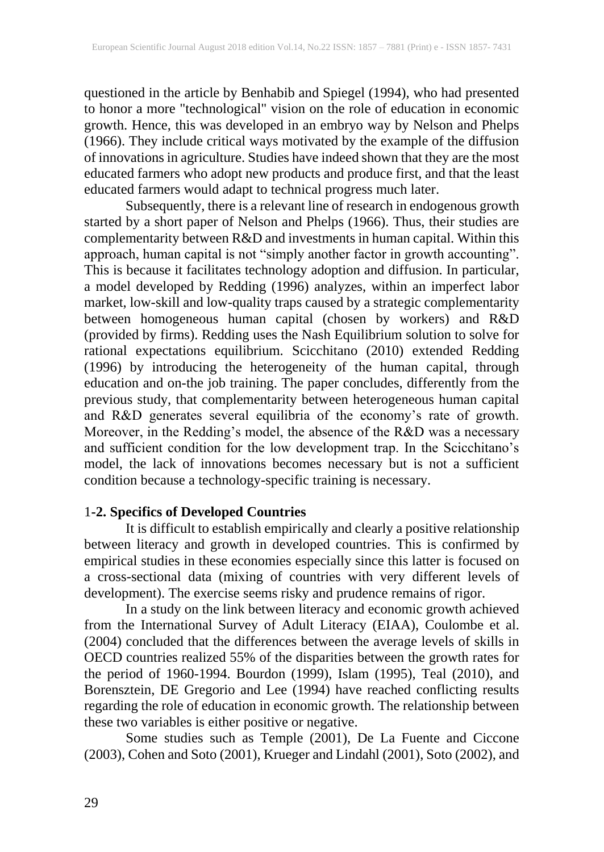questioned in the article by Benhabib and Spiegel (1994), who had presented to honor a more "technological" vision on the role of education in economic growth. Hence, this was developed in an embryo way by Nelson and Phelps (1966). They include critical ways motivated by the example of the diffusion of innovations in agriculture. Studies have indeed shown that they are the most educated farmers who adopt new products and produce first, and that the least educated farmers would adapt to technical progress much later.

Subsequently, there is a relevant line of research in endogenous growth started by a short paper of Nelson and Phelps (1966). Thus, their studies are complementarity between R&D and investments in human capital. Within this approach, human capital is not "simply another factor in growth accounting". This is because it facilitates technology adoption and diffusion. In particular, a model developed by Redding (1996) analyzes, within an imperfect labor market, low-skill and low-quality traps caused by a strategic complementarity between homogeneous human capital (chosen by workers) and R&D (provided by firms). Redding uses the Nash Equilibrium solution to solve for rational expectations equilibrium. Scicchitano (2010) extended Redding (1996) by introducing the heterogeneity of the human capital, through education and on-the job training. The paper concludes, differently from the previous study, that complementarity between heterogeneous human capital and R&D generates several equilibria of the economy's rate of growth. Moreover, in the Redding's model, the absence of the R&D was a necessary and sufficient condition for the low development trap. In the Scicchitano's model, the lack of innovations becomes necessary but is not a sufficient condition because a technology-specific training is necessary.

# 1**-2. Specifics of Developed Countries**

It is difficult to establish empirically and clearly a positive relationship between literacy and growth in developed countries. This is confirmed by empirical studies in these economies especially since this latter is focused on a cross-sectional data (mixing of countries with very different levels of development). The exercise seems risky and prudence remains of rigor.

In a study on the link between literacy and economic growth achieved from the International Survey of Adult Literacy (EIAA), Coulombe et al. (2004) concluded that the differences between the average levels of skills in OECD countries realized 55% of the disparities between the growth rates for the period of 1960-1994. Bourdon (1999), Islam (1995), Teal (2010), and Borensztein, DE Gregorio and Lee (1994) have reached conflicting results regarding the role of education in economic growth. The relationship between these two variables is either positive or negative.

Some studies such as Temple (2001), De La Fuente and Ciccone (2003), Cohen and Soto (2001), Krueger and Lindahl (2001), Soto (2002), and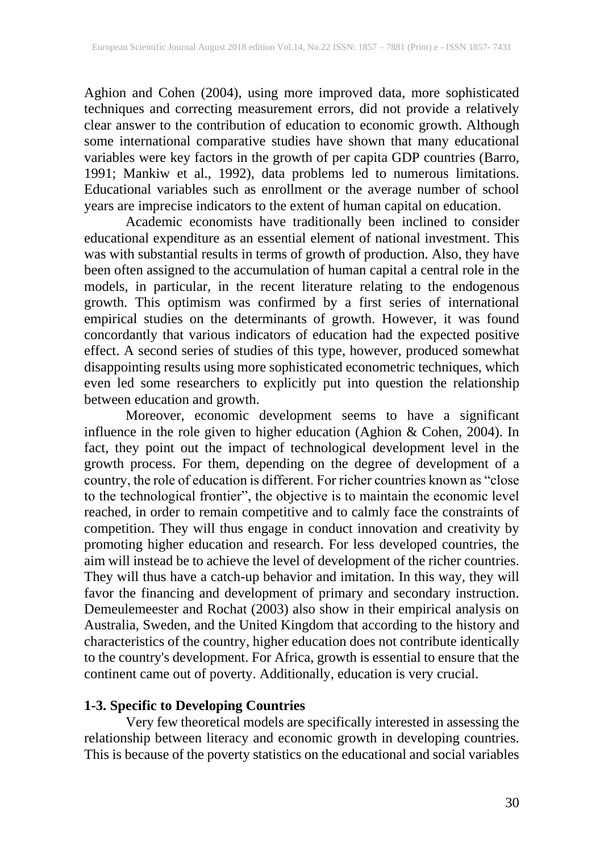Aghion and Cohen (2004), using more improved data, more sophisticated techniques and correcting measurement errors, did not provide a relatively clear answer to the contribution of education to economic growth. Although some international comparative studies have shown that many educational variables were key factors in the growth of per capita GDP countries (Barro, 1991; Mankiw et al., 1992), data problems led to numerous limitations. Educational variables such as enrollment or the average number of school years are imprecise indicators to the extent of human capital on education.

Academic economists have traditionally been inclined to consider educational expenditure as an essential element of national investment. This was with substantial results in terms of growth of production. Also, they have been often assigned to the accumulation of human capital a central role in the models, in particular, in the recent literature relating to the endogenous growth. This optimism was confirmed by a first series of international empirical studies on the determinants of growth. However, it was found concordantly that various indicators of education had the expected positive effect. A second series of studies of this type, however, produced somewhat disappointing results using more sophisticated econometric techniques, which even led some researchers to explicitly put into question the relationship between education and growth.

Moreover, economic development seems to have a significant influence in the role given to higher education (Aghion & Cohen, 2004). In fact, they point out the impact of technological development level in the growth process. For them, depending on the degree of development of a country, the role of education is different. For richer countries known as "close to the technological frontier", the objective is to maintain the economic level reached, in order to remain competitive and to calmly face the constraints of competition. They will thus engage in conduct innovation and creativity by promoting higher education and research. For less developed countries, the aim will instead be to achieve the level of development of the richer countries. They will thus have a catch-up behavior and imitation. In this way, they will favor the financing and development of primary and secondary instruction. Demeulemeester and Rochat (2003) also show in their empirical analysis on Australia, Sweden, and the United Kingdom that according to the history and characteristics of the country, higher education does not contribute identically to the country's development. For Africa, growth is essential to ensure that the continent came out of poverty. Additionally, education is very crucial.

# **1-3. Specific to Developing Countries**

Very few theoretical models are specifically interested in assessing the relationship between literacy and economic growth in developing countries. This is because of the poverty statistics on the educational and social variables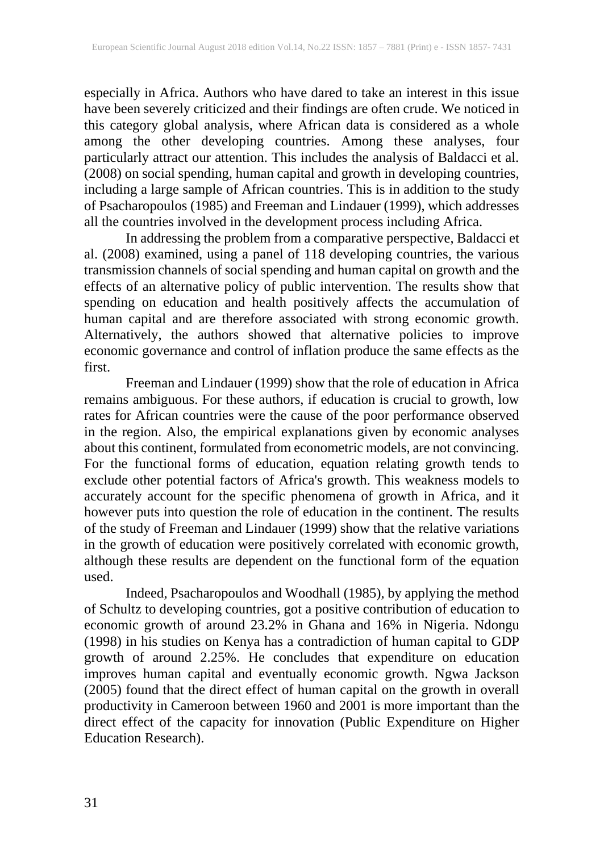especially in Africa. Authors who have dared to take an interest in this issue have been severely criticized and their findings are often crude. We noticed in this category global analysis, where African data is considered as a whole among the other developing countries. Among these analyses, four particularly attract our attention. This includes the analysis of Baldacci et al. (2008) on social spending, human capital and growth in developing countries, including a large sample of African countries. This is in addition to the study of Psacharopoulos (1985) and Freeman and Lindauer (1999), which addresses all the countries involved in the development process including Africa.

In addressing the problem from a comparative perspective, Baldacci et al. (2008) examined, using a panel of 118 developing countries, the various transmission channels of social spending and human capital on growth and the effects of an alternative policy of public intervention. The results show that spending on education and health positively affects the accumulation of human capital and are therefore associated with strong economic growth. Alternatively, the authors showed that alternative policies to improve economic governance and control of inflation produce the same effects as the first.

Freeman and Lindauer (1999) show that the role of education in Africa remains ambiguous. For these authors, if education is crucial to growth, low rates for African countries were the cause of the poor performance observed in the region. Also, the empirical explanations given by economic analyses about this continent, formulated from econometric models, are not convincing. For the functional forms of education, equation relating growth tends to exclude other potential factors of Africa's growth. This weakness models to accurately account for the specific phenomena of growth in Africa, and it however puts into question the role of education in the continent. The results of the study of Freeman and Lindauer (1999) show that the relative variations in the growth of education were positively correlated with economic growth, although these results are dependent on the functional form of the equation used.

Indeed, Psacharopoulos and Woodhall (1985), by applying the method of Schultz to developing countries, got a positive contribution of education to economic growth of around 23.2% in Ghana and 16% in Nigeria. Ndongu (1998) in his studies on Kenya has a contradiction of human capital to GDP growth of around 2.25%. He concludes that expenditure on education improves human capital and eventually economic growth. Ngwa Jackson (2005) found that the direct effect of human capital on the growth in overall productivity in Cameroon between 1960 and 2001 is more important than the direct effect of the capacity for innovation (Public Expenditure on Higher Education Research).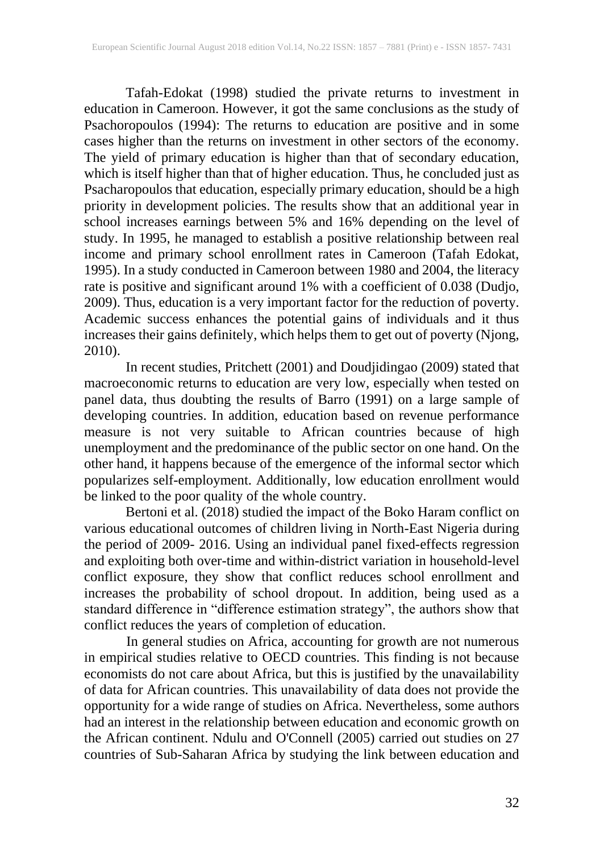Tafah-Edokat (1998) studied the private returns to investment in education in Cameroon. However, it got the same conclusions as the study of Psachoropoulos (1994): The returns to education are positive and in some cases higher than the returns on investment in other sectors of the economy. The yield of primary education is higher than that of secondary education, which is itself higher than that of higher education. Thus, he concluded just as Psacharopoulos that education, especially primary education, should be a high priority in development policies. The results show that an additional year in school increases earnings between 5% and 16% depending on the level of study. In 1995, he managed to establish a positive relationship between real income and primary school enrollment rates in Cameroon (Tafah Edokat, 1995). In a study conducted in Cameroon between 1980 and 2004, the literacy rate is positive and significant around 1% with a coefficient of 0.038 (Dudjo, 2009). Thus, education is a very important factor for the reduction of poverty. Academic success enhances the potential gains of individuals and it thus increases their gains definitely, which helps them to get out of poverty (Njong, 2010).

In recent studies, Pritchett (2001) and Doudjidingao (2009) stated that macroeconomic returns to education are very low, especially when tested on panel data, thus doubting the results of Barro (1991) on a large sample of developing countries. In addition, education based on revenue performance measure is not very suitable to African countries because of high unemployment and the predominance of the public sector on one hand. On the other hand, it happens because of the emergence of the informal sector which popularizes self-employment. Additionally, low education enrollment would be linked to the poor quality of the whole country.

Bertoni et al. (2018) studied the impact of the Boko Haram conflict on various educational outcomes of children living in North-East Nigeria during the period of 2009- 2016. Using an individual panel fixed-effects regression and exploiting both over-time and within-district variation in household-level conflict exposure, they show that conflict reduces school enrollment and increases the probability of school dropout. In addition, being used as a standard difference in "difference estimation strategy", the authors show that conflict reduces the years of completion of education.

In general studies on Africa, accounting for growth are not numerous in empirical studies relative to OECD countries. This finding is not because economists do not care about Africa, but this is justified by the unavailability of data for African countries. This unavailability of data does not provide the opportunity for a wide range of studies on Africa. Nevertheless, some authors had an interest in the relationship between education and economic growth on the African continent. Ndulu and O'Connell (2005) carried out studies on 27 countries of Sub-Saharan Africa by studying the link between education and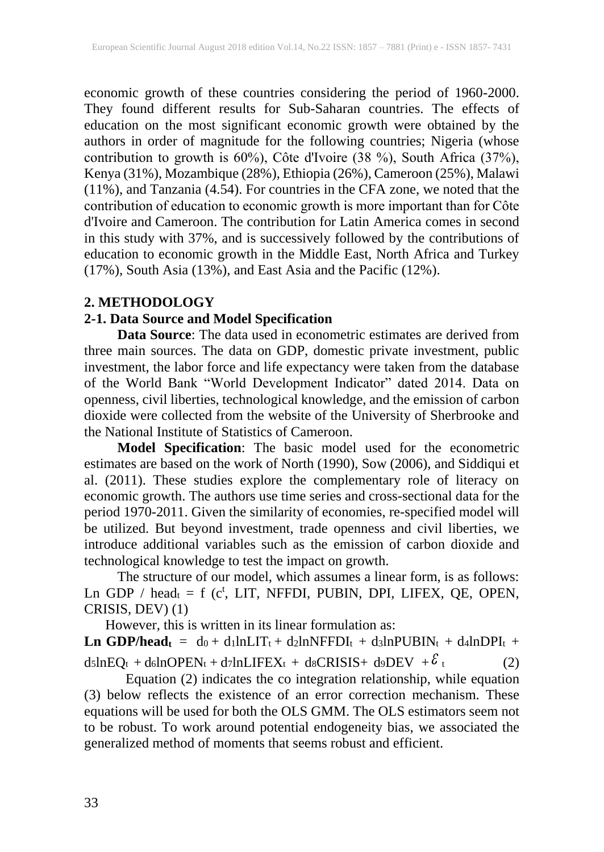economic growth of these countries considering the period of 1960-2000. They found different results for Sub-Saharan countries. The effects of education on the most significant economic growth were obtained by the authors in order of magnitude for the following countries; Nigeria (whose contribution to growth is 60%), Côte d'Ivoire (38 %), South Africa (37%), Kenya (31%), Mozambique (28%), Ethiopia (26%), Cameroon (25%), Malawi (11%), and Tanzania (4.54). For countries in the CFA zone, we noted that the contribution of education to economic growth is more important than for Côte d'Ivoire and Cameroon. The contribution for Latin America comes in second in this study with 37%, and is successively followed by the contributions of education to economic growth in the Middle East, North Africa and Turkey (17%), South Asia (13%), and East Asia and the Pacific (12%).

# **2. METHODOLOGY**

# **2-1. Data Source and Model Specification**

**Data Source**: The data used in econometric estimates are derived from three main sources. The data on GDP, domestic private investment, public investment, the labor force and life expectancy were taken from the database of the World Bank "World Development Indicator" dated 2014. Data on openness, civil liberties, technological knowledge, and the emission of carbon dioxide were collected from the website of the University of Sherbrooke and the National Institute of Statistics of Cameroon.

**Model Specification**: The basic model used for the econometric estimates are based on the work of North (1990), Sow (2006), and Siddiqui et al. (2011). These studies explore the complementary role of literacy on economic growth. The authors use time series and cross-sectional data for the period 1970-2011. Given the similarity of economies, re-specified model will be utilized. But beyond investment, trade openness and civil liberties, we introduce additional variables such as the emission of carbon dioxide and technological knowledge to test the impact on growth.

The structure of our model, which assumes a linear form, is as follows: Ln GDP / head $t = f$  (c<sup>t</sup>, LIT, NFFDI, PUBIN, DPI, LIFEX, QE, OPEN, CRISIS, DEV) (1)

However, this is written in its linear formulation as:

**Ln GDP/headt** =  $d_0 + d_1 ln LIT_t + d_2 ln NFFDI_t + d_3 ln PUBIN_t + d_4 ln DPI_t +$ d5lnEQt +d6lnOPENt +d7lnLIFEXt + d8CRISIS+ d9DEV + $\delta$  $(2)$ 

Equation (2) indicates the co integration relationship, while equation (3) below reflects the existence of an error correction mechanism. These equations will be used for both the OLS GMM. The OLS estimators seem not to be robust. To work around potential endogeneity bias, we associated the generalized method of moments that seems robust and efficient.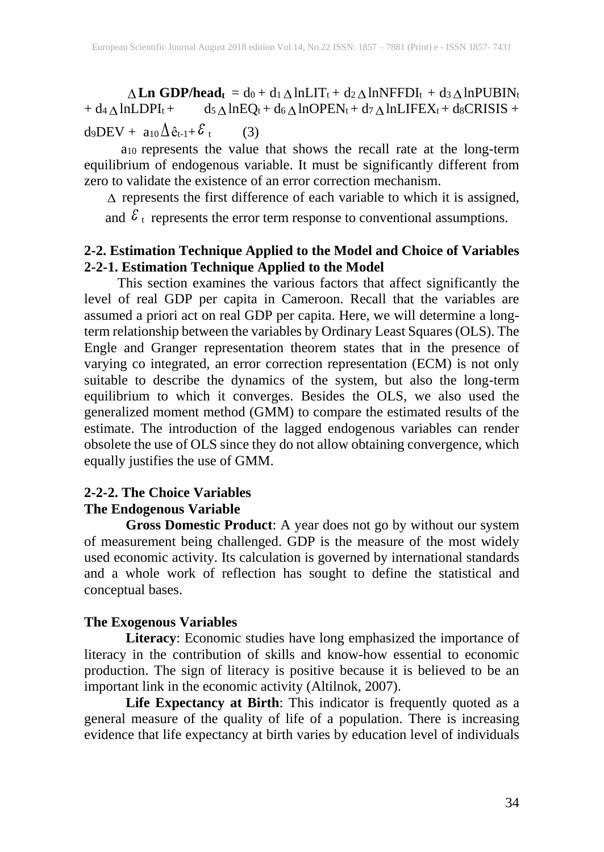**Ln GDP/headt** = d0 + d1  $\triangle$  lnLIT<sub>t</sub> + d2  $\triangle$  lnNFFDI<sub>t</sub> + d3  $\triangle$  lnPUBIN<sub>t</sub>  $+ d_4 \triangle lnLDPI_t + d_5$  $\triangle$  lnEQt + d<sub>6</sub> $\triangle$  lnOPENt + d7 $\triangle$  lnLIFEXt + d8CRISIS + d9DEV +  $a_{10}\Delta \hat{e}_{t-1} + \mathcal{E}$  $(3)$ 

a<sup>10</sup> represents the value that shows the recall rate at the long-term equilibrium of endogenous variable. It must be significantly different from zero to validate the existence of an error correction mechanism.

 $\Delta$  represents the first difference of each variable to which it is assigned,

and  $\epsilon_{\text{t}}$  represents the error term response to conventional assumptions.

# **2-2. Estimation Technique Applied to the Model and Choice of Variables 2-2-1. Estimation Technique Applied to the Model**

**ALM GDPPhaed,**  $=$  do  $+$ d  $\Delta$ (mLHT+  $+$ d  $\Delta$ AlMNHT+D+ +d  $\Delta$ AlMNHT+D+ +d  $\Delta$ AlMNHT+D+ +d  $\Delta$ MHNT+D+ +d  $\Delta$ MHNT+D+ +d  $\Delta$ MHNT+D+ +d  $\Delta$ MHNT+D+ +d  $\Delta$ MHNT+D+ +d  $\Delta$ MHNT+D+ +d  $\Delta$ MENG+ + and  $\Delta$ <sub>k++</sub> $\epsilon$ , (3) t This section examines the various factors that affect significantly the level of real GDP per capita in Cameroon. Recall that the variables are assumed a priori act on real GDP per capita. Here, we will determine a longterm relationship between the variables by Ordinary Least Squares (OLS). The Engle and Granger representation theorem states that in the presence of varying co integrated, an error correction representation (ECM) is not only suitable to describe the dynamics of the system, but also the long-term equilibrium to which it converges. Besides the OLS, we also used the generalized moment method (GMM) to compare the estimated results of the estimate. The introduction of the lagged endogenous variables can render obsolete the use of OLS since they do not allow obtaining convergence, which equally justifies the use of GMM.

# **2-2-2. The Choice Variables**

# **The Endogenous Variable**

**Gross Domestic Product**: A year does not go by without our system of measurement being challenged. GDP is the measure of the most widely used economic activity. Its calculation is governed by international standards and a whole work of reflection has sought to define the statistical and conceptual bases.

# **The Exogenous Variables**

**Literacy**: Economic studies have long emphasized the importance of literacy in the contribution of skills and know-how essential to economic production. The sign of literacy is positive because it is believed to be an important link in the economic activity (Altilnok, 2007).

**Life Expectancy at Birth**: This indicator is frequently quoted as a general measure of the quality of life of a population. There is increasing evidence that life expectancy at birth varies by education level of individuals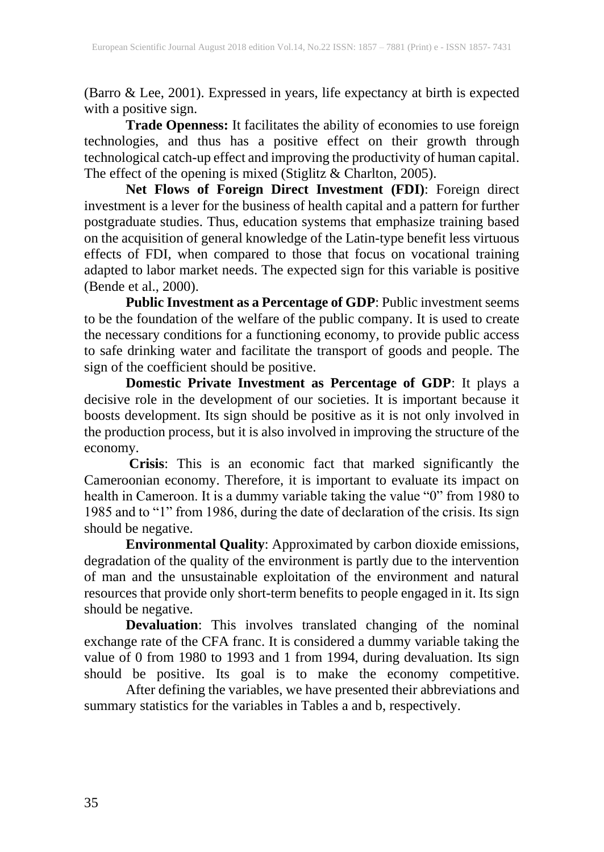(Barro & Lee, 2001). Expressed in years, life expectancy at birth is expected with a positive sign.

**Trade Openness:** It facilitates the ability of economies to use foreign technologies, and thus has a positive effect on their growth through technological catch-up effect and improving the productivity of human capital. The effect of the opening is mixed (Stiglitz & Charlton, 2005).

**Net Flows of Foreign Direct Investment (FDI)**: Foreign direct investment is a lever for the business of health capital and a pattern for further postgraduate studies. Thus, education systems that emphasize training based on the acquisition of general knowledge of the Latin-type benefit less virtuous effects of FDI, when compared to those that focus on vocational training adapted to labor market needs. The expected sign for this variable is positive (Bende et al., 2000).

**Public Investment as a Percentage of GDP**: Public investment seems to be the foundation of the welfare of the public company. It is used to create the necessary conditions for a functioning economy, to provide public access to safe drinking water and facilitate the transport of goods and people. The sign of the coefficient should be positive.

**Domestic Private Investment as Percentage of GDP**: It plays a decisive role in the development of our societies. It is important because it boosts development. Its sign should be positive as it is not only involved in the production process, but it is also involved in improving the structure of the economy.

**Crisis**: This is an economic fact that marked significantly the Cameroonian economy. Therefore, it is important to evaluate its impact on health in Cameroon. It is a dummy variable taking the value "0" from 1980 to 1985 and to "1" from 1986, during the date of declaration of the crisis. Its sign should be negative.

**Environmental Quality**: Approximated by carbon dioxide emissions, degradation of the quality of the environment is partly due to the intervention of man and the unsustainable exploitation of the environment and natural resources that provide only short-term benefits to people engaged in it. Its sign should be negative.

**Devaluation**: This involves translated changing of the nominal exchange rate of the CFA franc. It is considered a dummy variable taking the value of 0 from 1980 to 1993 and 1 from 1994, during devaluation. Its sign should be positive. Its goal is to make the economy competitive.

After defining the variables, we have presented their abbreviations and summary statistics for the variables in Tables a and b, respectively.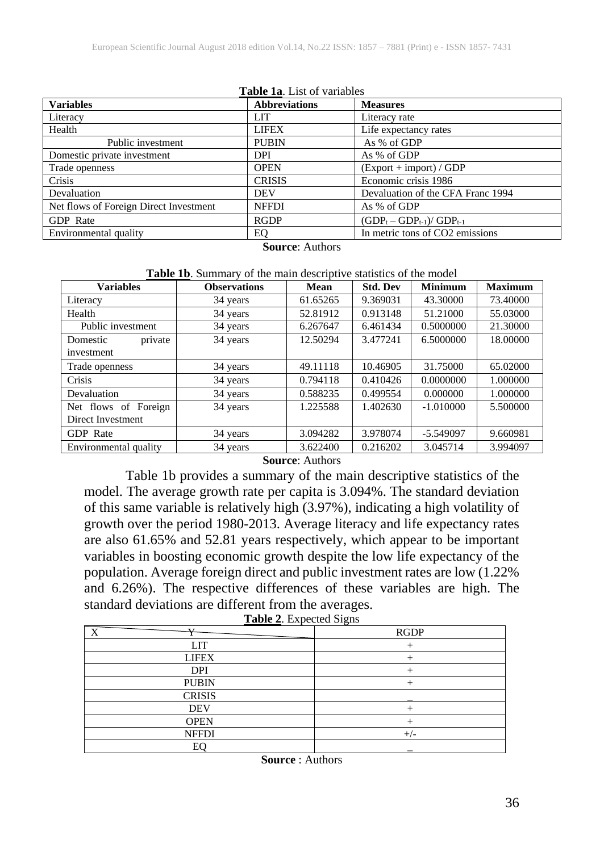| <b>Variables</b>                       | <b>Abbreviations</b> | <b>Measures</b>                   |
|----------------------------------------|----------------------|-----------------------------------|
| Literacy                               | <b>LIT</b>           | Literacy rate                     |
| Health                                 | <b>LIFEX</b>         | Life expectancy rates             |
| Public investment                      | <b>PUBIN</b>         | As % of GDP                       |
| Domestic private investment            | <b>DPI</b>           | As % of GDP                       |
| Trade openness                         | <b>OPEN</b>          | $(Expert + import) / GDP$         |
| Crisis                                 | <b>CRISIS</b>        | Economic crisis 1986              |
| Devaluation                            | <b>DEV</b>           | Devaluation of the CFA Franc 1994 |
| Net flows of Foreign Direct Investment | <b>NFFDI</b>         | As % of GDP                       |
| GDP Rate                               | <b>RGDP</b>          | $(GDP_t - GDP_{t-1})/ GDP_{t-1}$  |
| Environmental quality                  | EО                   | In metric tons of CO2 emissions   |

**Table 1a.** List of variable

**Source**: Authors

**Table 1b**. Summary of the main descriptive statistics of the model

| <b>Variables</b>      | <b>Observations</b> | Mean     | <b>Std. Dev</b> | <b>Minimum</b> | <b>Maximum</b> |
|-----------------------|---------------------|----------|-----------------|----------------|----------------|
| Literacy              | 34 years            | 61.65265 | 9.369031        | 43.30000       | 73.40000       |
| Health                | 34 years            | 52.81912 | 0.913148        | 51.21000       | 55.03000       |
| Public investment     | 34 years            | 6.267647 | 6.461434        | 0.5000000      | 21.30000       |
| Domestic<br>private   | 34 years            | 12.50294 | 3.477241        | 6.5000000      | 18,00000       |
| investment            |                     |          |                 |                |                |
| Trade openness        | 34 years            | 49.11118 | 10.46905        | 31.75000       | 65.02000       |
| Crisis                | 34 years            | 0.794118 | 0.410426        | 0.0000000      | 1.000000       |
| Devaluation           | 34 years            | 0.588235 | 0.499554        | 0.000000       | 1.000000       |
| Net flows of Foreign  | 34 years            | 1.225588 | 1.402630        | $-1.010000$    | 5.500000       |
| Direct Investment     |                     |          |                 |                |                |
| <b>GDP</b> Rate       | 34 years            | 3.094282 | 3.978074        | $-5.549097$    | 9.660981       |
| Environmental quality | 34 years            | 3.622400 | 0.216202        | 3.045714       | 3.994097       |

**Source**: Authors

Table 1b provides a summary of the main descriptive statistics of the model. The average growth rate per capita is 3.094%. The standard deviation of this same variable is relatively high (3.97%), indicating a high volatility of growth over the period 1980-2013. Average literacy and life expectancy rates are also 61.65% and 52.81 years respectively, which appear to be important variables in boosting economic growth despite the low life expectancy of the population. Average foreign direct and public investment rates are low (1.22% and 6.26%). The respective differences of these variables are high. The standard deviations are different from the averages.

|  |  |  |  |  | <b>Table 2.</b> Expected Signs |  |  |
|--|--|--|--|--|--------------------------------|--|--|
|--|--|--|--|--|--------------------------------|--|--|

| <b>TT</b><br>$\mathbf{v}$ | <b>RGDP</b> |
|---------------------------|-------------|
| <b>LIT</b>                |             |
| <b>LIFEX</b>              |             |
| <b>DPI</b>                |             |
| <b>PUBIN</b>              |             |
| <b>CRISIS</b>             |             |
| <b>DEV</b>                |             |
| <b>OPEN</b>               |             |
| <b>NFFDI</b>              |             |
| EС                        |             |

**Source** : Authors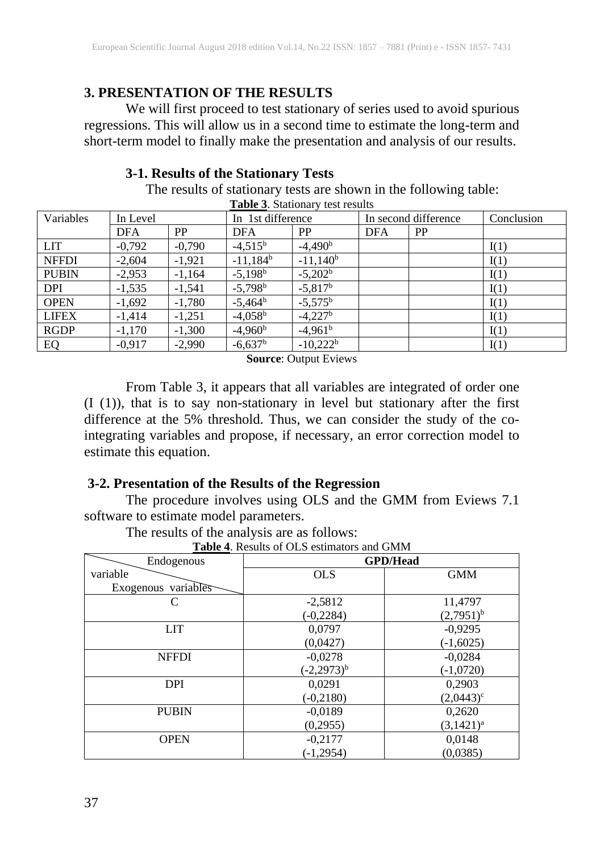# **3. PRESENTATION OF THE RESULTS**

We will first proceed to test stationary of series used to avoid spurious regressions. This will allow us in a second time to estimate the long-term and short-term model to finally make the presentation and analysis of our results.

# **3-1. Results of the Stationary Tests**

The results of stationary tests are shown in the following table: **Table 3**. Stationary test results

| $\blacksquare$ and $\blacksquare$ . Dualivinary<br>10011101 |          |           |                       |                  |            |                      |            |
|-------------------------------------------------------------|----------|-----------|-----------------------|------------------|------------|----------------------|------------|
| Variables                                                   | In Level |           | In 1st difference     |                  |            | In second difference | Conclusion |
|                                                             | DFA      | <b>PP</b> | <b>DFA</b>            | PP               | <b>DFA</b> | <b>PP</b>            |            |
| <b>LIT</b>                                                  | $-0,792$ | $-0,790$  | $-4,515^{\rm b}$      | $-4,490b$        |            |                      | I(1)       |
| <b>NFFDI</b>                                                | $-2,604$ | $-1.921$  | $-11,184^b$           | $-11,140^b$      |            |                      | I(1)       |
| <b>PUBIN</b>                                                | $-2,953$ | $-1,164$  | $-5,198b$             | $-5,202b$        |            |                      | I(1)       |
| <b>DPI</b>                                                  | $-1,535$ | $-1,541$  | $-5,798$ <sup>b</sup> | $-5,817^{\rm b}$ |            |                      | I(1)       |
| <b>OPEN</b>                                                 | $-1,692$ | $-1,780$  | $-5,464^b$            | $-5,575^{\rm b}$ |            |                      | I(1)       |
| <b>LIFEX</b>                                                | $-1,414$ | $-1,251$  | $-4,058^{\rm b}$      | $-4,227b$        |            |                      | I(1)       |
| <b>RGDP</b>                                                 | $-1,170$ | $-1,300$  | $-4,960^{\rm b}$      | $-4,961^b$       |            |                      | I(1)       |
| EQ                                                          | $-0,917$ | $-2,990$  | $-6,637$ <sup>b</sup> | $-10,222^b$      |            |                      | I(1)       |

**Source**: Output Eviews

From Table 3, it appears that all variables are integrated of order one (I (1)), that is to say non-stationary in level but stationary after the first difference at the 5% threshold. Thus, we can consider the study of the cointegrating variables and propose, if necessary, an error correction model to estimate this equation.

## **3-2. Presentation of the Results of the Regression**

The procedure involves using OLS and the GMM from Eviews 7.1 software to estimate model parameters.

The results of the analysis are as follows:

|  | <b>Table 4.</b> Results of OLS estimators and GMM |  |
|--|---------------------------------------------------|--|
|--|---------------------------------------------------|--|

| Endogenous          |                  | <b>GPD/Head</b> |
|---------------------|------------------|-----------------|
| variable            | <b>OLS</b>       | <b>GMM</b>      |
| Exogenous variables |                  |                 |
| C                   | $-2,5812$        | 11,4797         |
|                     | $(-0, 2284)$     | $(2,7951)^{b}$  |
| <b>LIT</b>          | 0,0797           | $-0,9295$       |
|                     | (0,0427)         | $(-1,6025)$     |
| <b>NFFDI</b>        | $-0,0278$        | $-0,0284$       |
|                     | $(-2, 2973)^{b}$ | $(-1,0720)$     |
| <b>DPI</b>          | 0,0291           | 0,2903          |
|                     | $(-0, 2180)$     | $(2,0443)^c$    |
| <b>PUBIN</b>        | $-0,0189$        | 0,2620          |
|                     | (0,2955)         | $(3,1421)^a$    |
| <b>OPEN</b>         | $-0,2177$        | 0,0148          |
|                     | $(-1, 2954)$     | (0,0385)        |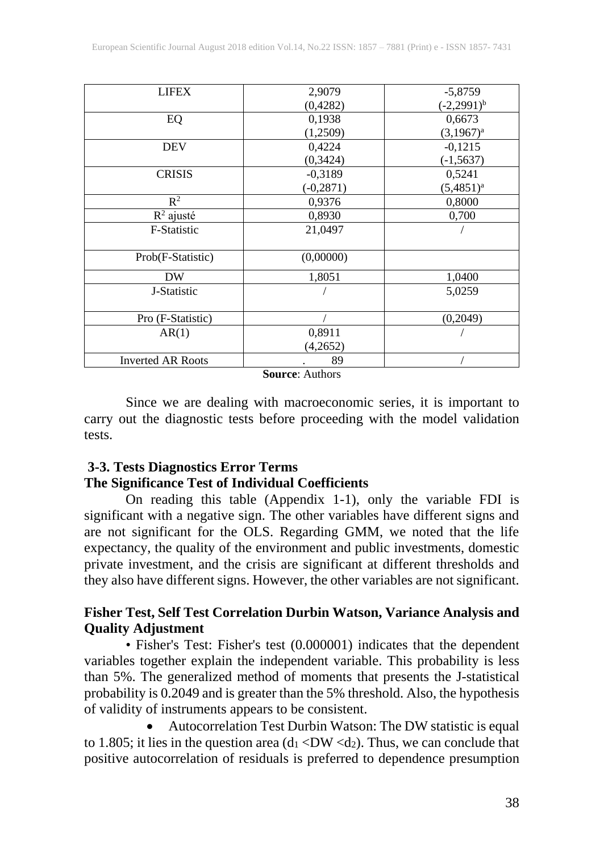| <b>LIFEX</b>             | 2,9079       | $-5,8759$       |
|--------------------------|--------------|-----------------|
|                          | (0,4282)     | $(-2,2991)^{b}$ |
| EQ                       | 0,1938       | 0,6673          |
|                          | (1,2509)     | $(3,1967)^{a}$  |
| <b>DEV</b>               | 0,4224       | $-0,1215$       |
|                          | (0, 3424)    | $(-1, 5637)$    |
| <b>CRISIS</b>            | $-0,3189$    | 0,5241          |
|                          | $(-0, 2871)$ | $(5,4851)^a$    |
| $R^2$                    | 0,9376       | 0,8000          |
| $R^2$ ajusté             | 0,8930       | 0,700           |
| F-Statistic              | 21,0497      |                 |
|                          |              |                 |
| Prob(F-Statistic)        | (0,00000)    |                 |
| DW                       | 1,8051       | 1,0400          |
| J-Statistic              |              | 5,0259          |
|                          |              |                 |
| Pro (F-Statistic)        |              | (0, 2049)       |
| AR(1)                    | 0,8911       |                 |
|                          | (4,2652)     |                 |
| <b>Inverted AR Roots</b> | 89           |                 |

**Source**: Authors

Since we are dealing with macroeconomic series, it is important to carry out the diagnostic tests before proceeding with the model validation tests.

# **3-3. Tests Diagnostics Error Terms The Significance Test of Individual Coefficients**

On reading this table (Appendix 1-1), only the variable FDI is significant with a negative sign. The other variables have different signs and are not significant for the OLS. Regarding GMM, we noted that the life expectancy, the quality of the environment and public investments, domestic private investment, and the crisis are significant at different thresholds and they also have different signs. However, the other variables are not significant.

# **Fisher Test, Self Test Correlation Durbin Watson, Variance Analysis and Quality Adjustment**

• Fisher's Test: Fisher's test (0.000001) indicates that the dependent variables together explain the independent variable. This probability is less than 5%. The generalized method of moments that presents the J-statistical probability is 0.2049 and is greater than the 5% threshold. Also, the hypothesis of validity of instruments appears to be consistent.

• Autocorrelation Test Durbin Watson: The DW statistic is equal to 1.805; it lies in the question area  $(d_1 < DW < d_2)$ . Thus, we can conclude that positive autocorrelation of residuals is preferred to dependence presumption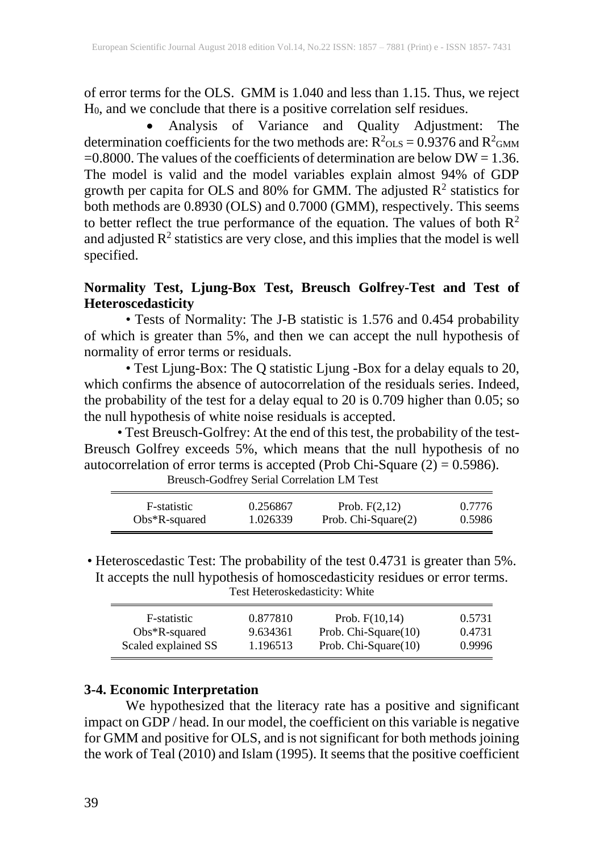of error terms for the OLS. GMM is 1.040 and less than 1.15. Thus, we reject H0, and we conclude that there is a positive correlation self residues.

• Analysis of Variance and Quality Adjustment: The determination coefficients for the two methods are:  $R^2$ <sub>OLS</sub> = 0.9376 and  $R^2$ <sub>GMM</sub>  $=0.8000$ . The values of the coefficients of determination are below DW = 1.36. The model is valid and the model variables explain almost 94% of GDP growth per capita for OLS and 80% for GMM. The adjusted  $\mathbb{R}^2$  statistics for both methods are 0.8930 (OLS) and 0.7000 (GMM), respectively. This seems to better reflect the true performance of the equation. The values of both  $\mathbb{R}^2$ and adjusted  $\mathbb{R}^2$  statistics are very close, and this implies that the model is well specified.

# **Normality Test, Ljung-Box Test, Breusch Golfrey-Test and Test of Heteroscedasticity**

• Tests of Normality: The J-B statistic is 1.576 and 0.454 probability of which is greater than 5%, and then we can accept the null hypothesis of normality of error terms or residuals.

• Test Ljung-Box: The Q statistic Ljung -Box for a delay equals to 20, which confirms the absence of autocorrelation of the residuals series. Indeed, the probability of the test for a delay equal to 20 is 0.709 higher than 0.05; so the null hypothesis of white noise residuals is accepted.

• Test Breusch-Golfrey: At the end of this test, the probability of the test-Breusch Golfrey exceeds 5%, which means that the null hypothesis of no autocorrelation of error terms is accepted (Prob Chi-Square  $(2) = 0.5986$ ).

Breusch-Godfrey Serial Correlation LM Test

| F-statistic      | 0.256867 | Prob. $F(2,12)$     | 0.7776 |
|------------------|----------|---------------------|--------|
| $Obs*R$ -squared | 1.026339 | Prob. Chi-Square(2) | 0.5986 |

• Heteroscedastic Test: The probability of the test 0.4731 is greater than 5%. It accepts the null hypothesis of homoscedasticity residues or error terms. Test Heteroskedasticity: White

| F-statistic         | 0.877810 | Prob. $F(10,14)$     | 0.5731 |
|---------------------|----------|----------------------|--------|
| $Obs*R$ -squared    | 9.634361 | Prob. Chi-Square(10) | 0.4731 |
| Scaled explained SS | 1.196513 | Prob. Chi-Square(10) | 0.9996 |

## **3-4. Economic Interpretation**

We hypothesized that the literacy rate has a positive and significant impact on GDP / head. In our model, the coefficient on this variable is negative for GMM and positive for OLS, and is not significant for both methods joining the work of Teal (2010) and Islam (1995). It seems that the positive coefficient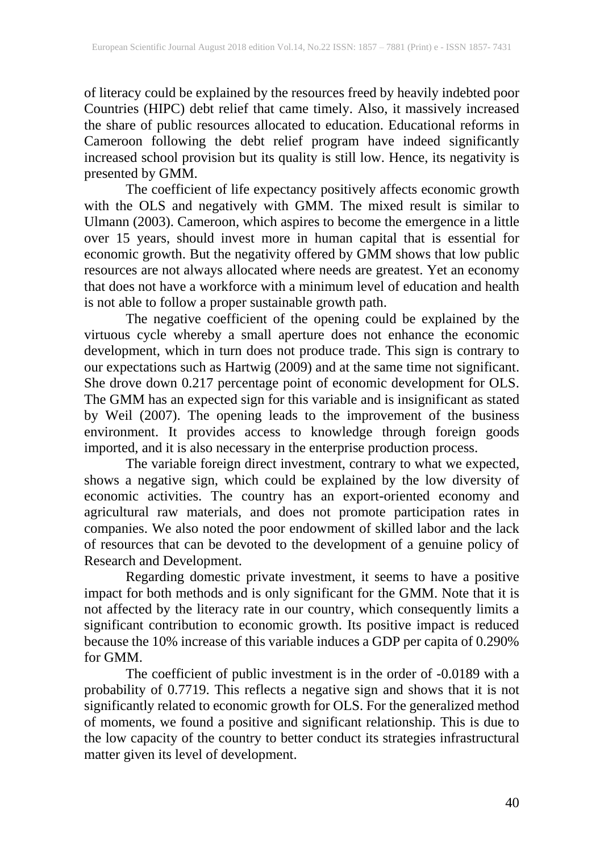of literacy could be explained by the resources freed by heavily indebted poor Countries (HIPC) debt relief that came timely. Also, it massively increased the share of public resources allocated to education. Educational reforms in Cameroon following the debt relief program have indeed significantly increased school provision but its quality is still low. Hence, its negativity is presented by GMM.

The coefficient of life expectancy positively affects economic growth with the OLS and negatively with GMM. The mixed result is similar to Ulmann (2003). Cameroon, which aspires to become the emergence in a little over 15 years, should invest more in human capital that is essential for economic growth. But the negativity offered by GMM shows that low public resources are not always allocated where needs are greatest. Yet an economy that does not have a workforce with a minimum level of education and health is not able to follow a proper sustainable growth path.

The negative coefficient of the opening could be explained by the virtuous cycle whereby a small aperture does not enhance the economic development, which in turn does not produce trade. This sign is contrary to our expectations such as Hartwig (2009) and at the same time not significant. She drove down 0.217 percentage point of economic development for OLS. The GMM has an expected sign for this variable and is insignificant as stated by Weil (2007). The opening leads to the improvement of the business environment. It provides access to knowledge through foreign goods imported, and it is also necessary in the enterprise production process.

The variable foreign direct investment, contrary to what we expected, shows a negative sign, which could be explained by the low diversity of economic activities. The country has an export-oriented economy and agricultural raw materials, and does not promote participation rates in companies. We also noted the poor endowment of skilled labor and the lack of resources that can be devoted to the development of a genuine policy of Research and Development.

Regarding domestic private investment, it seems to have a positive impact for both methods and is only significant for the GMM. Note that it is not affected by the literacy rate in our country, which consequently limits a significant contribution to economic growth. Its positive impact is reduced because the 10% increase of this variable induces a GDP per capita of 0.290% for GMM.

The coefficient of public investment is in the order of -0.0189 with a probability of 0.7719. This reflects a negative sign and shows that it is not significantly related to economic growth for OLS. For the generalized method of moments, we found a positive and significant relationship. This is due to the low capacity of the country to better conduct its strategies infrastructural matter given its level of development.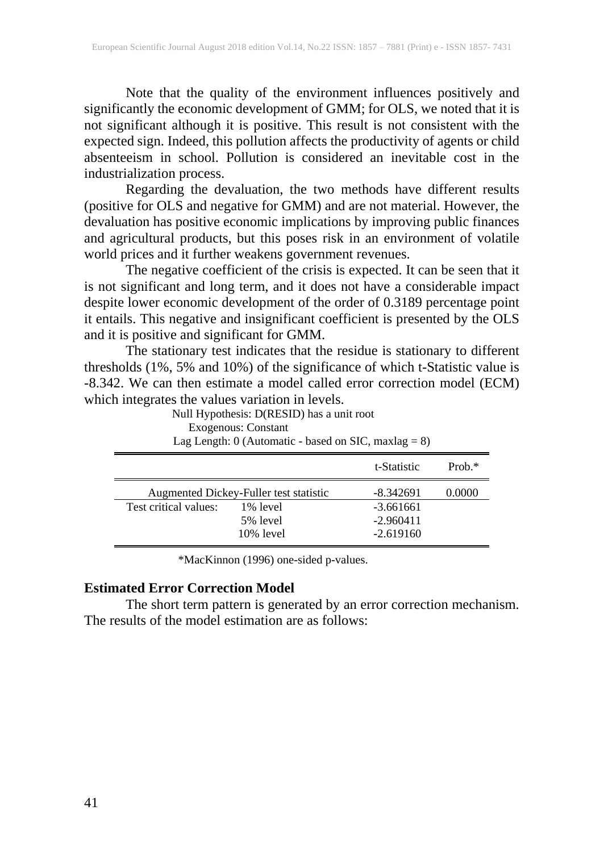Note that the quality of the environment influences positively and significantly the economic development of GMM; for OLS, we noted that it is not significant although it is positive. This result is not consistent with the expected sign. Indeed, this pollution affects the productivity of agents or child absenteeism in school. Pollution is considered an inevitable cost in the industrialization process.

Regarding the devaluation, the two methods have different results (positive for OLS and negative for GMM) and are not material. However, the devaluation has positive economic implications by improving public finances and agricultural products, but this poses risk in an environment of volatile world prices and it further weakens government revenues.

The negative coefficient of the crisis is expected. It can be seen that it is not significant and long term, and it does not have a considerable impact despite lower economic development of the order of 0.3189 percentage point it entails. This negative and insignificant coefficient is presented by the OLS and it is positive and significant for GMM.

The stationary test indicates that the residue is stationary to different thresholds (1%, 5% and 10%) of the significance of which t-Statistic value is -8.342. We can then estimate a model called error correction model (ECM) which integrates the values variation in levels.

Null Hypothesis: D(RESID) has a unit root

Exogenous: Constant

| Lag Length: $0$ (Automatic - based on SIC, maxlag = 8) |  |  |  |  |  |
|--------------------------------------------------------|--|--|--|--|--|
|--------------------------------------------------------|--|--|--|--|--|

|                       |                                        | t-Statistic                | Prob. $*$ |
|-----------------------|----------------------------------------|----------------------------|-----------|
|                       | Augmented Dickey-Fuller test statistic | -8.342691                  | 0.0000    |
| Test critical values: | 1% level<br>5% level                   | $-3.661661$<br>$-2.960411$ |           |
|                       | $10\%$ level                           | $-2.619160$                |           |

\*MacKinnon (1996) one-sided p-values.

#### **Estimated Error Correction Model**

The short term pattern is generated by an error correction mechanism. The results of the model estimation are as follows: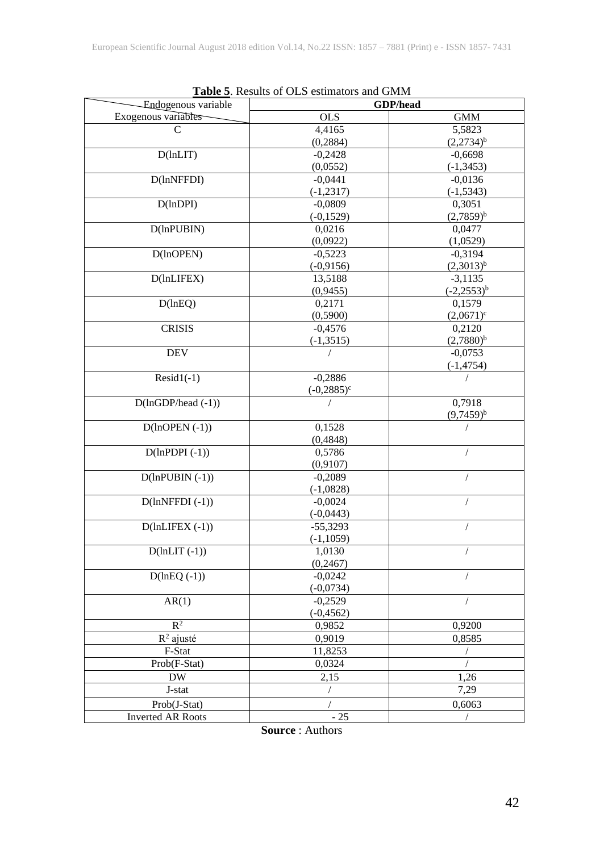|                             | <b>Table 5.</b> Results of OLS estimators and GMM |                 |
|-----------------------------|---------------------------------------------------|-----------------|
| Endogenous variable         |                                                   | GDP/head        |
| Exogenous variables         | <b>OLS</b>                                        | <b>GMM</b>      |
| C                           | 4,4165                                            | 5,5823          |
|                             | (0, 2884)                                         | $(2,2734)^{b}$  |
| $D(\text{lnLIT})$           | $-0,2428$                                         | $-0,6698$       |
|                             | (0,0552)                                          | $(-1, 3453)$    |
| D(lnNFFDI)                  | $-0,0441$                                         | $-0,0136$       |
|                             | $(-1, 2317)$                                      | $(-1, 5343)$    |
| D(lnDPI)                    | $-0,0809$                                         | 0,3051          |
|                             | $(-0, 1529)$                                      | $(2,7859)^{b}$  |
| D(lnPUBIN)                  | 0,0216                                            | 0,0477          |
|                             | (0,0922)                                          | (1,0529)        |
| D(lnOPEN)                   | $-0,5223$                                         | $-0,3194$       |
|                             | $(-0,9156)$                                       | $(2,3013)^{b}$  |
| $D(\text{lnLIFEX})$         | 13,5188                                           | $-3,1135$       |
|                             | (0,9455)                                          | $(-2,2553)^{b}$ |
| D(lnEQ)                     | 0,2171                                            | 0,1579          |
|                             | (0,5900)                                          | $(2,0671)^c$    |
| <b>CRISIS</b>               | $-0,4576$                                         | 0,2120          |
|                             | $(-1, 3515)$                                      | $(2,7880)^{b}$  |
| <b>DEV</b>                  |                                                   | $-0.0753$       |
|                             |                                                   | $(-1, 4754)$    |
| $Resid1(-1)$                | $-0,2886$                                         |                 |
|                             | $(-0,2885)^c$                                     |                 |
| $D(lnGDP/head(-1))$         |                                                   | 0,7918          |
|                             |                                                   | $(9,7459)^{b}$  |
| $D($ lnOPEN $(-1)$ )        | 0,1528                                            |                 |
|                             | (0, 4848)                                         |                 |
| $D(lnPDPI(-1))$             | 0,5786                                            | $\sqrt{2}$      |
|                             | (0,9107)                                          |                 |
| $D(lnPUBIN (-1))$           | $-0,2089$                                         |                 |
|                             | $(-1,0828)$                                       |                 |
| $D(lnNFFDI(-1))$            | $-0,0024$                                         |                 |
|                             | $(-0,0443)$                                       |                 |
| $D(\text{lnLIFEX}(-1))$     | $-55,3293$                                        |                 |
|                             | $(-1, 1059)$                                      |                 |
| $\overline{D}$ (lnLIT (-1)) | 1,0130                                            | $\sqrt{2}$      |
|                             | (0,2467)                                          |                 |
| $D(lnEQ(-1))$               | $-0,0242$                                         |                 |
|                             | $(-0,0734)$                                       |                 |
| AR(1)                       | $-0,2529$                                         |                 |
|                             | $(-0, 4562)$                                      |                 |
| $R^2$                       | 0,9852                                            | 0,9200          |
| $R^2$ ajusté                | 0,9019                                            | 0,8585          |
| F-Stat                      | 11,8253                                           | $\sqrt{2}$      |
| Prob(F-Stat)                | 0,0324                                            |                 |
| <b>DW</b>                   | 2,15                                              | 1,26            |
| J-stat                      | $\sqrt{2}$                                        | 7,29            |
| Prob(J-Stat)                |                                                   | 0,6063          |
| <b>Inverted AR Roots</b>    | $-25$                                             | $\sqrt{2}$      |

| <b>Table 5.</b> Results of OLS estimators and GMM |  |  |  |  |  |
|---------------------------------------------------|--|--|--|--|--|
|---------------------------------------------------|--|--|--|--|--|

**Source** : Authors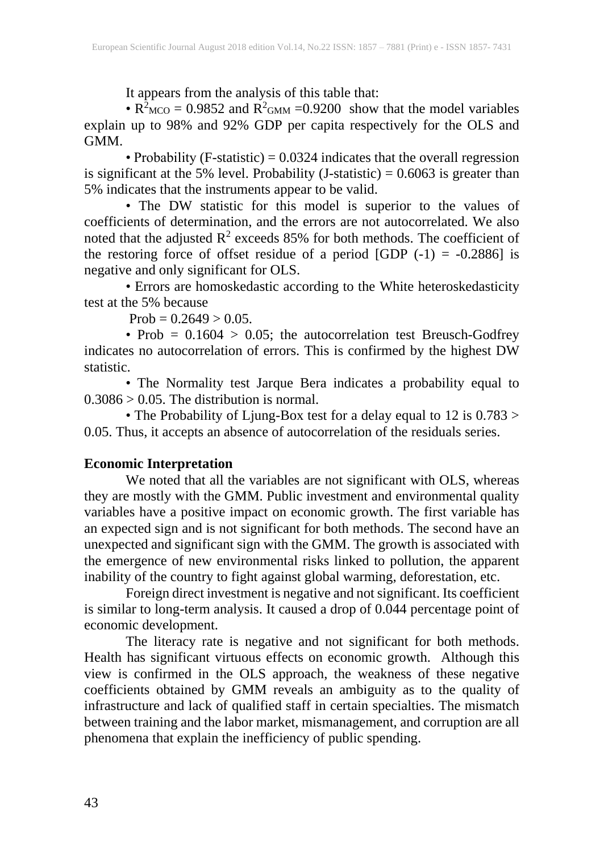It appears from the analysis of this table that:

•  $R^2$ <sub>MCO</sub> = 0.9852 and  $R^2$ <sub>GMM</sub> = 0.9200 show that the model variables explain up to 98% and 92% GDP per capita respectively for the OLS and GMM.

• Probability (F-statistic) =  $0.0324$  indicates that the overall regression is significant at the 5% level. Probability  $(J-statistic) = 0.6063$  is greater than 5% indicates that the instruments appear to be valid.

• The DW statistic for this model is superior to the values of coefficients of determination, and the errors are not autocorrelated. We also noted that the adjusted  $\mathbb{R}^2$  exceeds 85% for both methods. The coefficient of the restoring force of offset residue of a period [GDP  $(-1) = -0.2886$ ] is negative and only significant for OLS.

• Errors are homoskedastic according to the White heteroskedasticity test at the 5% because

 $Prob = 0.2649 > 0.05.$ 

• Prob =  $0.1604 > 0.05$ ; the autocorrelation test Breusch-Godfrey indicates no autocorrelation of errors. This is confirmed by the highest DW statistic.

• The Normality test Jarque Bera indicates a probability equal to  $0.3086 > 0.05$ . The distribution is normal.

• The Probability of Ljung-Box test for a delay equal to 12 is 0.783 > 0.05. Thus, it accepts an absence of autocorrelation of the residuals series.

# **Economic Interpretation**

We noted that all the variables are not significant with OLS, whereas they are mostly with the GMM. Public investment and environmental quality variables have a positive impact on economic growth. The first variable has an expected sign and is not significant for both methods. The second have an unexpected and significant sign with the GMM. The growth is associated with the emergence of new environmental risks linked to pollution, the apparent inability of the country to fight against global warming, deforestation, etc.

Foreign direct investment is negative and not significant. Its coefficient is similar to long-term analysis. It caused a drop of 0.044 percentage point of economic development.

The literacy rate is negative and not significant for both methods. Health has significant virtuous effects on economic growth. Although this view is confirmed in the OLS approach, the weakness of these negative coefficients obtained by GMM reveals an ambiguity as to the quality of infrastructure and lack of qualified staff in certain specialties. The mismatch between training and the labor market, mismanagement, and corruption are all phenomena that explain the inefficiency of public spending.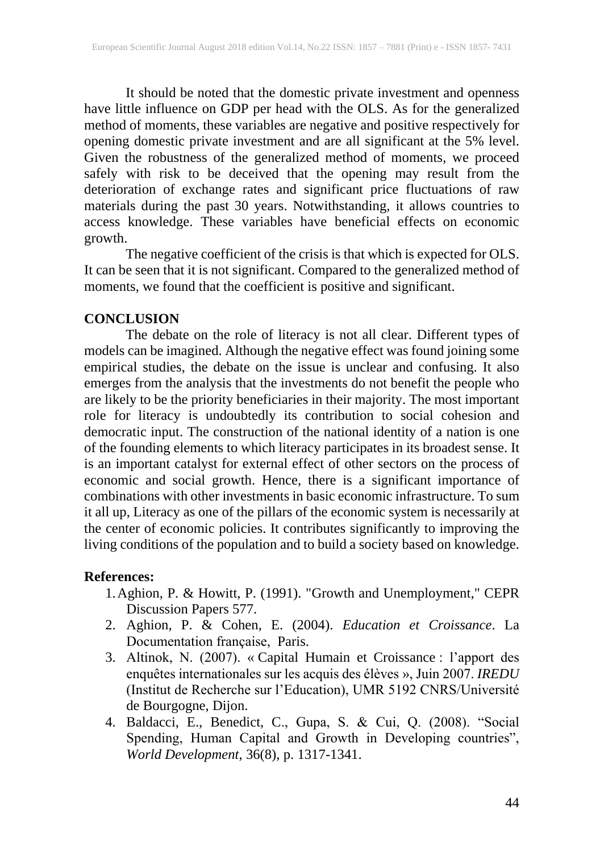It should be noted that the domestic private investment and openness have little influence on GDP per head with the OLS. As for the generalized method of moments, these variables are negative and positive respectively for opening domestic private investment and are all significant at the 5% level. Given the robustness of the generalized method of moments, we proceed safely with risk to be deceived that the opening may result from the deterioration of exchange rates and significant price fluctuations of raw materials during the past 30 years. Notwithstanding, it allows countries to access knowledge. These variables have beneficial effects on economic growth.

The negative coefficient of the crisis is that which is expected for OLS. It can be seen that it is not significant. Compared to the generalized method of moments, we found that the coefficient is positive and significant.

## **CONCLUSION**

The debate on the role of literacy is not all clear. Different types of models can be imagined. Although the negative effect was found joining some empirical studies, the debate on the issue is unclear and confusing. It also emerges from the analysis that the investments do not benefit the people who are likely to be the priority beneficiaries in their majority. The most important role for literacy is undoubtedly its contribution to social cohesion and democratic input. The construction of the national identity of a nation is one of the founding elements to which literacy participates in its broadest sense. It is an important catalyst for external effect of other sectors on the process of economic and social growth. Hence, there is a significant importance of combinations with other investments in basic economic infrastructure. To sum it all up, Literacy as one of the pillars of the economic system is necessarily at the center of economic policies. It contributes significantly to improving the living conditions of the population and to build a society based on knowledge.

## **References:**

- 1.Aghion, P. & Howitt, P. (1991). "Growth and Unemployment," CEPR Discussion Papers 577.
- 2. Aghion, P. & Cohen, E. (2004). *Education et Croissance*. La Documentation française, Paris.
- 3. Altinok, N. (2007). « Capital Humain et Croissance : l'apport des enquêtes internationales sur les acquis des élèves », Juin 2007. *IREDU*  (Institut de Recherche sur l'Education), UMR 5192 CNRS/Université de Bourgogne, Dijon.
- 4. Baldacci, E., Benedict, C., Gupa, S. & Cui, Q. (2008). "Social Spending, Human Capital and Growth in Developing countries", *World Development*, 36(8), p. 1317-1341.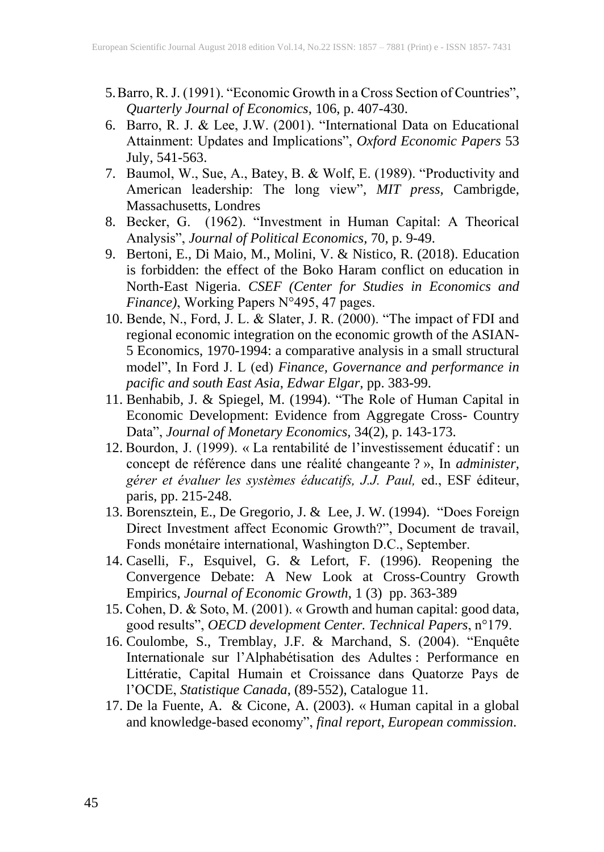- 5.Barro, R. J. (1991). "Economic Growth in a Cross Section of Countries", *Quarterly Journal of Economics*, 106, p. 407-430.
- 6. Barro, R. J. & Lee, J.W. (2001). "International Data on Educational Attainment: Updates and Implications", *Oxford Economic Papers* 53 July, 541-563.
- 7. Baumol, W., Sue, A., Batey, B. & Wolf, E. (1989). "Productivity and American leadership: The long view", *MIT press,* Cambrigde, Massachusetts, Londres
- 8. Becker, G. (1962). "Investment in Human Capital: A Theorical Analysis", *Journal of Political Economics,* 70, p. 9-49.
- 9. Bertoni, E., Di Maio, M., Molini, V. & Nistico, R. (2018). Education is forbidden: the effect of the Boko Haram conflict on education in North-East Nigeria. *CSEF (Center for Studies in Economics and Finance)*, Working Papers N°495, 47 pages.
- 10. Bende, N., Ford, J. L. & Slater, J. R. (2000). "The impact of FDI and regional economic integration on the economic growth of the ASIAN-5 Economics, 1970-1994: a comparative analysis in a small structural model", In Ford J. L (ed) *Finance, Governance and performance in pacific and south East Asia*, *Edwar Elgar,* pp. 383-99.
- 11. Benhabib, J. & Spiegel, M. (1994). "The Role of Human Capital in Economic Development: Evidence from Aggregate Cross- Country Data", *Journal of Monetary Economics,* 34(2), p. 143-173.
- 12. Bourdon, J. (1999). « La rentabilité de l'investissement éducatif : un concept de référence dans une réalité changeante ? », In *administer, gérer et évaluer les systèmes éducatifs, J.J. Paul,* ed., ESF éditeur, paris, pp. 215-248.
- 13. Borensztein, E., De Gregorio, J. & Lee, J. W. (1994). "Does Foreign Direct Investment affect Economic Growth?", Document de travail, Fonds monétaire international, Washington D.C., September.
- 14. Caselli, F., Esquivel, G. & Lefort, F. (1996). Reopening the Convergence Debate: A New Look at Cross-Country Growth Empirics, *Journal of Economic Growth*, 1 (3) pp. 363-389
- 15. Cohen, D. & Soto, M. (2001). « Growth and human capital: good data, good results", *OECD development Center. Technical Papers*, n°179.
- 16. Coulombe, S., Tremblay, J.F. & Marchand, S. (2004). "Enquête Internationale sur l'Alphabétisation des Adultes : Performance en Littératie, Capital Humain et Croissance dans Quatorze Pays de l'OCDE, *Statistique Canada*, (89-552), Catalogue 11.
- 17. De la Fuente, A. & Cicone, A. (2003). « Human capital in a global and knowledge-based economy", *final report*, *European commission*.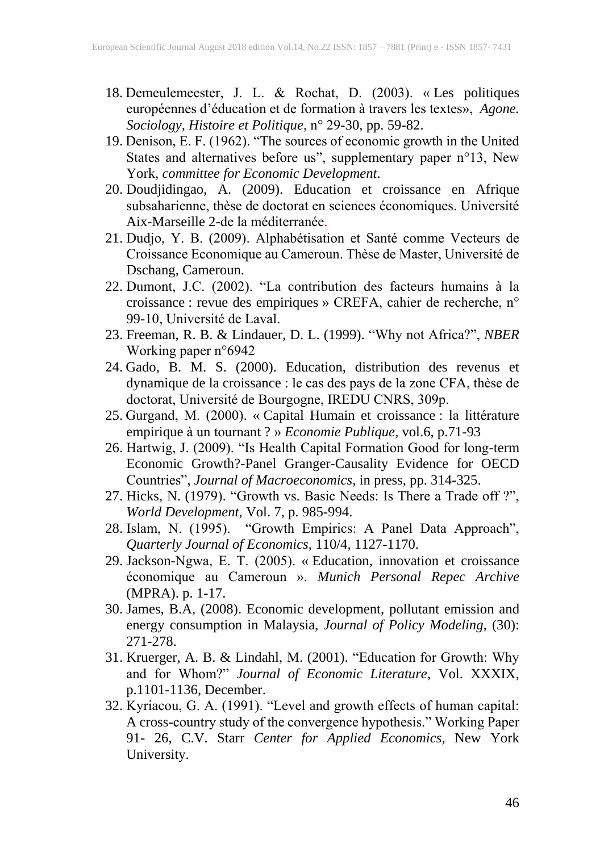- 18. Demeulemeester, J. L. & Rochat, D. (2003). « Les politiques européennes d'éducation et de formation à travers les textes», *Agone. Sociology, Histoire et Politique*, n° 29-30, pp. 59-82.
- 19. Denison, E. F. (1962). "The sources of economic growth in the United States and alternatives before us", supplementary paper n°13, New York, *committee for Economic Development*.
- 20. Doudjidingao, A. (2009). Education et croissance en Afrique subsaharienne, thèse de doctorat en sciences économiques. Université Aix-Marseille 2-de la méditerranée.
- 21. Dudjo, Y. B. (2009). Alphabétisation et Santé comme Vecteurs de Croissance Economique au Cameroun. Thèse de Master, Université de Dschang, Cameroun.
- 22. Dumont, J.C. (2002). "La contribution des facteurs humains à la croissance : revue des empiriques » CREFA, cahier de recherche, n° 99-10, Université de Laval.
- 23. Freeman, R. B. & Lindauer, D. L. (1999). "Why not Africa?", *NBER* Working paper n°6942
- 24. Gado, B. M. S. (2000). Education, distribution des revenus et dynamique de la croissance : le cas des pays de la zone CFA, thèse de doctorat, Université de Bourgogne, IREDU CNRS, 309p.
- 25. Gurgand, M. (2000). « Capital Humain et croissance : la littérature empirique à un tournant ? » *Economie Publique*, vol.6, p.71-93
- 26. Hartwig, J. (2009). "Is Health Capital Formation Good for long-term Economic Growth?-Panel Granger-Causality Evidence for OECD Countries", *Journal of Macroeconomics*, in press, pp. 314-325.
- 27. Hicks, N. (1979). "Growth vs. Basic Needs: Is There a Trade off ?", *World Development*, Vol. 7, p. 985-994.
- 28. Islam, N. (1995). "Growth Empirics: A Panel Data Approach", *Quarterly Journal of Economics*, 110/4, 1127-1170.
- 29. Jackson-Ngwa, E. T. (2005). « Education, innovation et croissance économique au Cameroun ». *Munich Personal Repec Archive* (MPRA). p. 1-17.
- 30. James, B.A, (2008). Economic development, pollutant emission and energy consumption in Malaysia, *Journal of Policy Modeling*, (30): 271-278.
- 31. Kruerger, A. B. & Lindahl, M. (2001). "Education for Growth: Why and for Whom?" *Journal of Economic Literature*, Vol. XXXIX, p.1101-1136, December.
- 32. Kyriacou, G. A. (1991). "Level and growth effects of human capital: A cross-country study of the convergence hypothesis." Working Paper 91- 26, C.V. Starr *Center for Applied Economics*, New York University.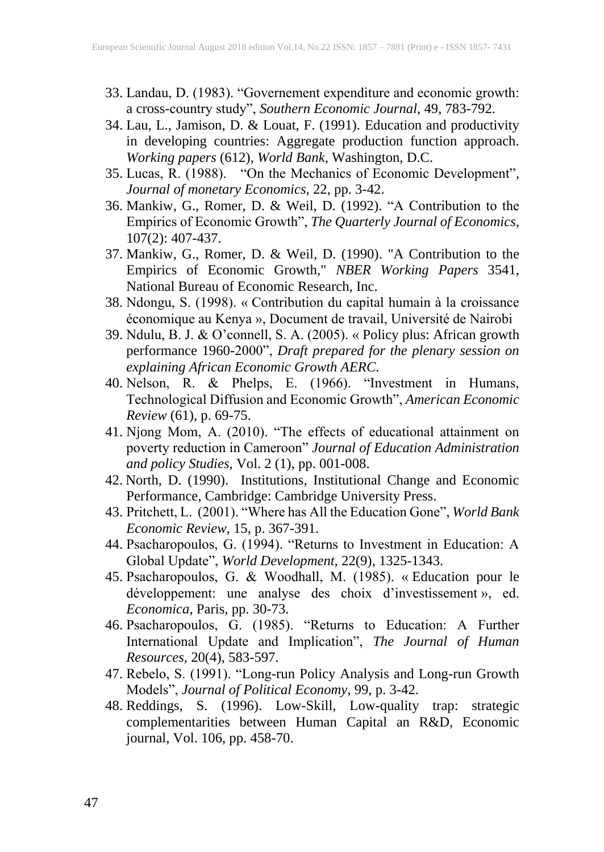- 33. Landau, D. (1983). "Governement expenditure and economic growth: a cross-country study", *Southern Economic Journal*, 49, 783-792.
- 34. Lau, L., Jamison, D. & Louat, F. (1991). Education and productivity in developing countries: Aggregate production function approach. *Working papers* (612), *World Bank*, Washington, D.C.
- 35. Lucas, R. (1988). "On the Mechanics of Economic Development"*, Journal of monetary Economics*, 22, pp. 3-42.
- 36. Mankiw, G., Romer, D. & Weil, D. (1992). "A Contribution to the Empirics of Economic Growth", *The Quarterly Journal of Economics*, 107(2): 407-437.
- 37. Mankiw, G., Romer, D. & Weil, D. (1990). "A Contribution to the Empirics of Economic Growth," *NBER Working Papers* 3541, National Bureau of Economic Research, Inc.
- 38. Ndongu, S. (1998). « Contribution du capital humain à la croissance économique au Kenya », Document de travail, Université de Nairobi
- 39. Ndulu, B. J. & O'connell, S. A. (2005). « Policy plus: African growth performance 1960-2000", *Draft prepared for the plenary session on explaining African Economic Growth AERC*.
- 40. Nelson, R. & Phelps, E. (1966). "Investment in Humans, Technological Diffusion and Economic Growth", *American Economic Review* (61), p. 69-75.
- 41. Njong Mom, A. (2010). "The effects of educational attainment on poverty reduction in Cameroon" *Journal of Education Administration and policy Studies*, Vol. 2 (1), pp. 001-008.
- 42. North, D. (1990). Institutions, Institutional Change and Economic Performance, Cambridge: Cambridge University Press.
- 43. Pritchett, L. (2001). "Where has All the Education Gone", *World Bank Economic Review*, 15, p. 367-391.
- 44. Psacharopoulos, G. (1994). "Returns to Investment in Education: A Global Update", *World Development,* 22(9), 1325-1343.
- 45. Psacharopoulos, G. & Woodhall, M. (1985). « Education pour le développement: une analyse des choix d'investissement », ed. *Economica,* Paris, pp. 30-73.
- 46. Psacharopoulos, G. (1985). "Returns to Education: A Further International Update and Implication", *The Journal of Human Resources,* 20(4), 583-597.
- 47. Rebelo, S. (1991). "Long-run Policy Analysis and Long-run Growth Models", *Journal of Political Economy*, 99, p. 3-42.
- 48. Reddings, S. (1996). Low-Skill, Low-quality trap: strategic complementarities between Human Capital an R&D, Economic journal, Vol. 106, pp. 458-70.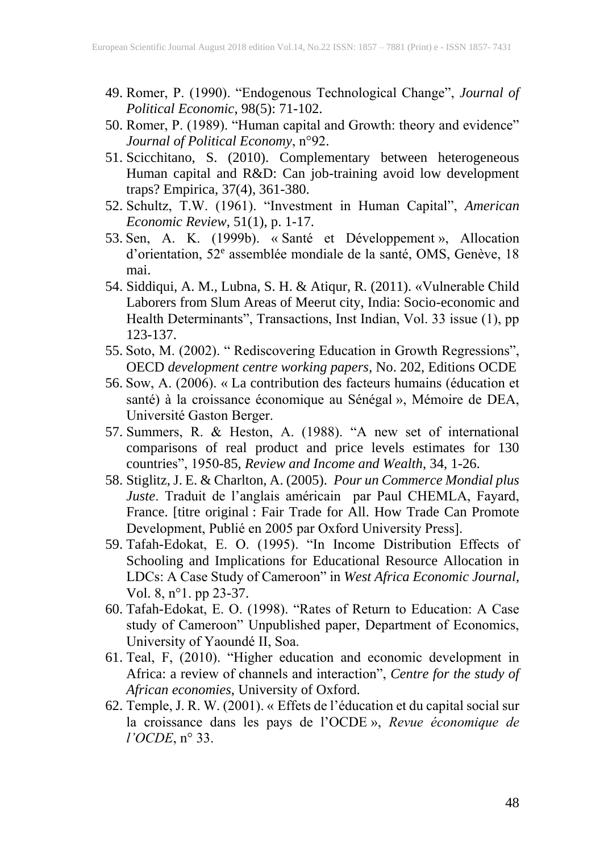- 49. Romer, P. (1990). "Endogenous Technological Change", *Journal of Political Economic*, 98(5): 71-102.
- 50. Romer, P. (1989). "Human capital and Growth: theory and evidence" *Journal of Political Economy*, n°92.
- 51. Scicchitano, S. (2010). Complementary between heterogeneous Human capital and R&D: Can job-training avoid low development traps? Empirica, 37(4), 361-380.
- 52. Schultz, T.W. (1961). "Investment in Human Capital", *American Economic Review*, 51(1), p. 1-17.
- 53. Sen, A. K. (1999b). « Santé et Développement », Allocation d'orientation, 52<sup>e</sup> assemblée mondiale de la santé, OMS, Genève, 18 mai.
- 54. Siddiqui, A. M., Lubna, S. H. & Atiqur, R. (2011). «Vulnerable Child Laborers from Slum Areas of Meerut city, India: Socio-economic and Health Determinants", Transactions, Inst Indian, Vol. 33 issue (1), pp 123-137.
- 55. Soto, M. (2002). " Rediscovering Education in Growth Regressions", OECD *development centre working papers,* No. 202, Editions OCDE
- 56. Sow, A. (2006). « La contribution des facteurs humains (éducation et santé) à la croissance économique au Sénégal », Mémoire de DEA, Université Gaston Berger.
- 57. Summers, R. & Heston, A. (1988). "A new set of international comparisons of real product and price levels estimates for 130 countries", 1950-85, *Review and Income and Wealth*, 34, 1-26.
- 58. Stiglitz, J. E. & Charlton, A. (2005). *Pour un Commerce Mondial plus Juste*. Traduit de l'anglais américain par Paul CHEMLA, Fayard, France. [titre original : Fair Trade for All. How Trade Can Promote Development, Publié en 2005 par Oxford University Press].
- 59. Tafah-Edokat, E. O. (1995). "In Income Distribution Effects of Schooling and Implications for Educational Resource Allocation in LDCs: A Case Study of Cameroon" in *West Africa Economic Journal*, Vol. 8, n°1. pp 23-37.
- 60. Tafah-Edokat, E. O. (1998). "Rates of Return to Education: A Case study of Cameroon" Unpublished paper, Department of Economics, University of Yaoundé II, Soa.
- 61. Teal, F, (2010). "Higher education and economic development in Africa: a review of channels and interaction", *Centre for the study of African economies*, University of Oxford.
- 62. Temple, J. R. W. (2001). « Effets de l'éducation et du capital social sur la croissance dans les pays de l'OCDE », *Revue économique de l'OCDE*, n° 33.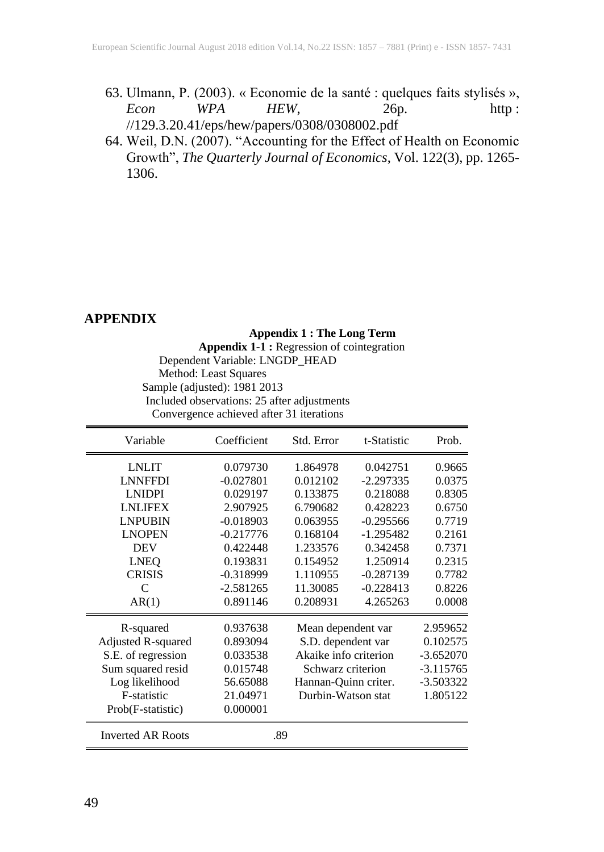- 63. Ulmann, P. (2003). « Economie de la santé : quelques faits stylisés », *Econ WPA HEW*, 26p. http : //129.3.20.41/eps/hew/papers/0308/0308002.pdf
- 64. Weil, D.N. (2007). "Accounting for the Effect of Health on Economic Growth", *The Quarterly Journal of Economics*, Vol. 122(3), pp. 1265- 1306.

# **APPENDIX**

#### **Appendix 1 : The Long Term**

**Appendix 1-1 :** Regression of cointegration Dependent Variable: LNGDP\_HEAD Method: Least Squares Sample (adjusted): 1981 2013 Included observations: 25 after adjustments Convergence achieved after 31 iterations

| Variable                 | Coefficient | Std. Error            | t-Statistic | Prob.       |
|--------------------------|-------------|-----------------------|-------------|-------------|
| <b>LNLIT</b>             | 0.079730    | 1.864978              | 0.042751    | 0.9665      |
| <b>LNNFFDI</b>           | $-0.027801$ | 0.012102              | $-2.297335$ | 0.0375      |
| <b>LNIDPI</b>            | 0.029197    | 0.133875              | 0.218088    | 0.8305      |
| <b>LNLIFEX</b>           | 2.907925    | 6.790682              | 0.428223    | 0.6750      |
| <b>LNPUBIN</b>           | $-0.018903$ | 0.063955              | $-0.295566$ | 0.7719      |
| <b>LNOPEN</b>            | $-0.217776$ | 0.168104              | $-1.295482$ | 0.2161      |
| <b>DEV</b>               | 0.422448    | 1.233576              | 0.342458    | 0.7371      |
| <b>LNEQ</b>              | 0.193831    | 0.154952              | 1.250914    | 0.2315      |
| <b>CRISIS</b>            | $-0.318999$ | 1.110955              | $-0.287139$ | 0.7782      |
| $\mathcal{C}$            | $-2.581265$ | 11.30085              | $-0.228413$ | 0.8226      |
| AR(1)                    | 0.891146    | 0.208931              | 4.265263    | 0.0008      |
| R-squared                | 0.937638    | Mean dependent var    |             | 2.959652    |
| Adjusted R-squared       | 0.893094    | S.D. dependent var    |             | 0.102575    |
| S.E. of regression       | 0.033538    | Akaike info criterion |             | $-3.652070$ |
| Sum squared resid        | 0.015748    | Schwarz criterion     |             | $-3.115765$ |
| Log likelihood           | 56.65088    | Hannan-Quinn criter.  |             | $-3.503322$ |
| F-statistic              | 21.04971    | Durbin-Watson stat    |             | 1.805122    |
| Prob(F-statistic)        | 0.000001    |                       |             |             |
| <b>Inverted AR Roots</b> |             | .89                   |             |             |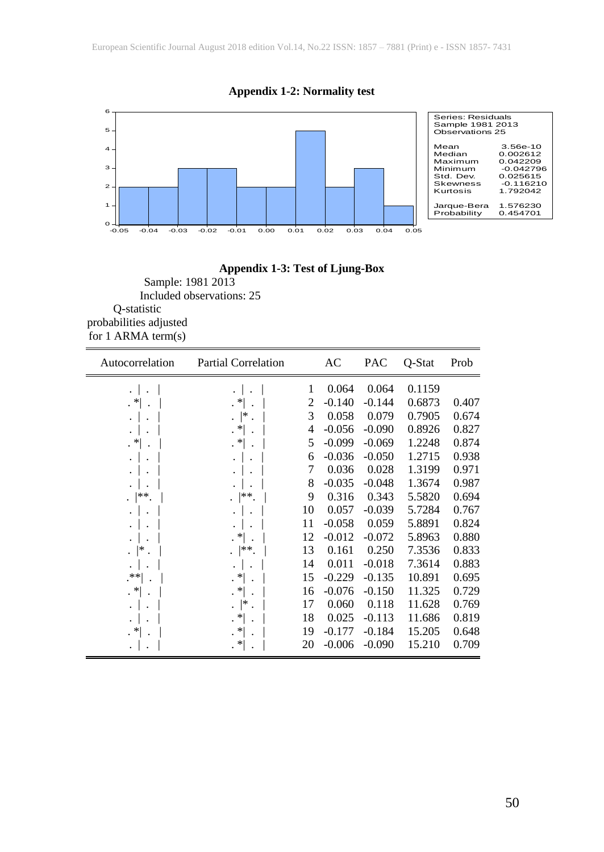

**Appendix 1-2: Normality test**

## **Appendix 1-3: Test of Ljung-Box**

Sample: 1981 2013 Included observations: 25 Q-statistic probabilities adjusted for 1 ARMA term(s)

| Autocorrelation      | <b>Partial Correlation</b> |    | AC       | <b>PAC</b> | Q-Stat | Prob  |
|----------------------|----------------------------|----|----------|------------|--------|-------|
| $\cdot$ 1            | $\cdot$                    | 1  | 0.064    | 0.064      | 0.1159 |       |
| $\cdot$ *            | $\mathbf{R}^*$ .           | 2  | $-0.140$ | $-0.144$   | 0.6873 | 0.407 |
| $\cdot$              | . $\mathrel{\rvert}^*$ .   | 3  | 0.058    | 0.079      | 0.7905 | 0.674 |
| $\ddot{\phantom{0}}$ | $\mathbf{R}^*$             | 4  | $-0.056$ | $-0.090$   | 0.8926 | 0.827 |
| $\cdot$ $*$          | $\cdot$ *                  | 5  | $-0.099$ | $-0.069$   | 1.2248 | 0.874 |
| $\cdot$              |                            | 6  | $-0.036$ | $-0.050$   | 1.2715 | 0.938 |
| $\ddot{\phantom{0}}$ |                            | 7  | 0.036    | 0.028      | 1.3199 | 0.971 |
|                      |                            | 8  | $-0.035$ | $-0.048$   | 1.3674 | 0.987 |
| $ $ **.              | $\cdot$ $ **$ .            | 9  | 0.316    | 0.343      | 5.5820 | 0.694 |
|                      |                            | 10 | 0.057    | $-0.039$   | 5.7284 | 0.767 |
| $\ddot{\phantom{0}}$ |                            | 11 | $-0.058$ | 0.059      | 5.8891 | 0.824 |
|                      | $\mathbf{R}^*$             | 12 | $-0.012$ | $-0.072$   | 5.8963 | 0.880 |
| . $ $ *              | . $ **$ .                  | 13 | 0.161    | 0.250      | 7.3536 | 0.833 |
|                      |                            | 14 | 0.011    | $-0.018$   | 7.3614 | 0.883 |
| .**∣                 | $\mathbf{R}^*$             | 15 | $-0.229$ | $-0.135$   | 10.891 | 0.695 |
| $\cdot$ *            | $\cdot$ *                  | 16 | $-0.076$ | $-0.150$   | 11.325 | 0.729 |
| $\ddot{\phantom{0}}$ | . $\vert^*$                | 17 | 0.060    | 0.118      | 11.628 | 0.769 |
|                      | $\mathbf{R}^*$             | 18 | 0.025    | $-0.113$   | 11.686 | 0.819 |
| $\cdot$ $*$          | $\cdot$ $*$                | 19 | $-0.177$ | $-0.184$   | 15.205 | 0.648 |
|                      | . *                        | 20 | $-0.006$ | $-0.090$   | 15.210 | 0.709 |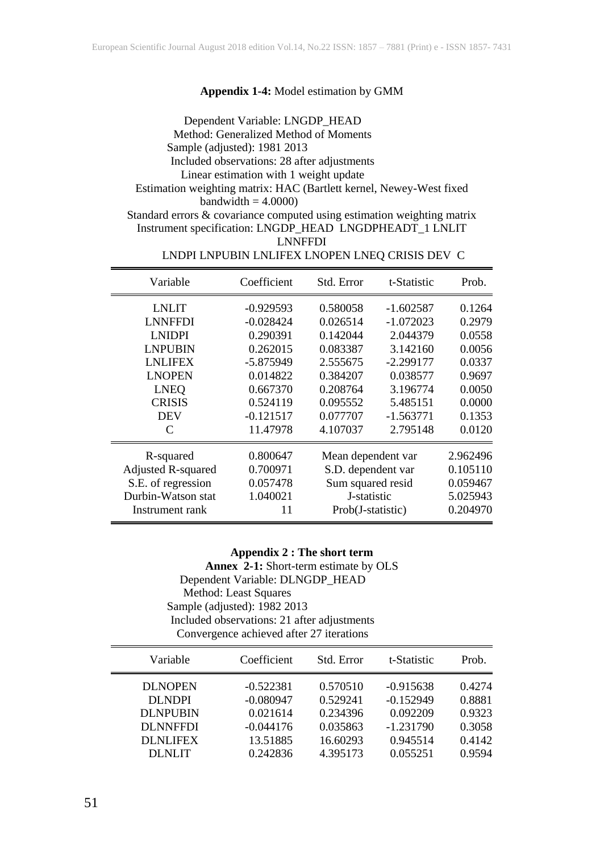#### **Appendix 1-4:** Model estimation by GMM

Dependent Variable: LNGDP\_HEAD Method: Generalized Method of Moments Sample (adjusted): 1981 2013 Included observations: 28 after adjustments Linear estimation with 1 weight update Estimation weighting matrix: HAC (Bartlett kernel, Newey-West fixed bandwidth  $= 4.0000$ ) Standard errors & covariance computed using estimation weighting matrix

Instrument specification: LNGDP\_HEAD LNGDPHEADT\_1 LNLIT LNNFFDI

| Variable           | Coefficient | Std. Error         | t-Statistic | Prob.    |
|--------------------|-------------|--------------------|-------------|----------|
| <b>LNLIT</b>       | $-0.929593$ | 0.580058           | $-1.602587$ | 0.1264   |
| <b>LNNFFDI</b>     | $-0.028424$ | 0.026514           | $-1.072023$ | 0.2979   |
| <b>LNIDPI</b>      | 0.290391    | 0.142044           | 2.044379    | 0.0558   |
| <b>LNPUBIN</b>     | 0.262015    | 0.083387           | 3.142160    | 0.0056   |
| <b>LNLIFEX</b>     | $-5.875949$ | 2.555675           | $-2.299177$ | 0.0337   |
| <b>LNOPEN</b>      | 0.014822    | 0.384207           | 0.038577    | 0.9697   |
| <b>LNEQ</b>        | 0.667370    | 0.208764           | 3.196774    | 0.0050   |
| <b>CRISIS</b>      | 0.524119    | 0.095552           | 5.485151    | 0.0000   |
| <b>DEV</b>         | $-0.121517$ | 0.077707           | $-1.563771$ | 0.1353   |
| C                  | 11.47978    | 4.107037           | 2.795148    | 0.0120   |
| R-squared          | 0.800647    | Mean dependent var |             | 2.962496 |
| Adjusted R-squared | 0.700971    | S.D. dependent var |             | 0.105110 |
| S.E. of regression | 0.057478    | Sum squared resid  |             | 0.059467 |
| Durbin-Watson stat | 1.040021    | J-statistic        |             | 5.025943 |
| Instrument rank    | 11          | Prob(J-statistic)  |             | 0.204970 |

#### LNDPI LNPUBIN LNLIFEX LNOPEN LNEQ CRISIS DEV C

#### **Appendix 2 : The short term**

**Annex 2-1:** Short-term estimate by OLS Dependent Variable: DLNGDP\_HEAD Method: Least Squares Sample (adjusted): 1982 2013 Included observations: 21 after adjustments Convergence achieved after 27 iterations

| Variable        | Coefficient | Std. Error | t-Statistic | Prob.  |
|-----------------|-------------|------------|-------------|--------|
| <b>DLNOPEN</b>  | $-0.522381$ | 0.570510   | $-0.915638$ | 0.4274 |
| <b>DLNDPI</b>   | $-0.080947$ | 0.529241   | $-0.152949$ | 0.8881 |
| <b>DLNPUBIN</b> | 0.021614    | 0.234396   | 0.092209    | 0.9323 |
| <b>DLNNFFDI</b> | $-0.044176$ | 0.035863   | $-1.231790$ | 0.3058 |
| <b>DLNLIFEX</b> | 13.51885    | 16.60293   | 0.945514    | 0.4142 |
| DLNLIT          | 0.242836    | 4.395173   | 0.055251    | 0.9594 |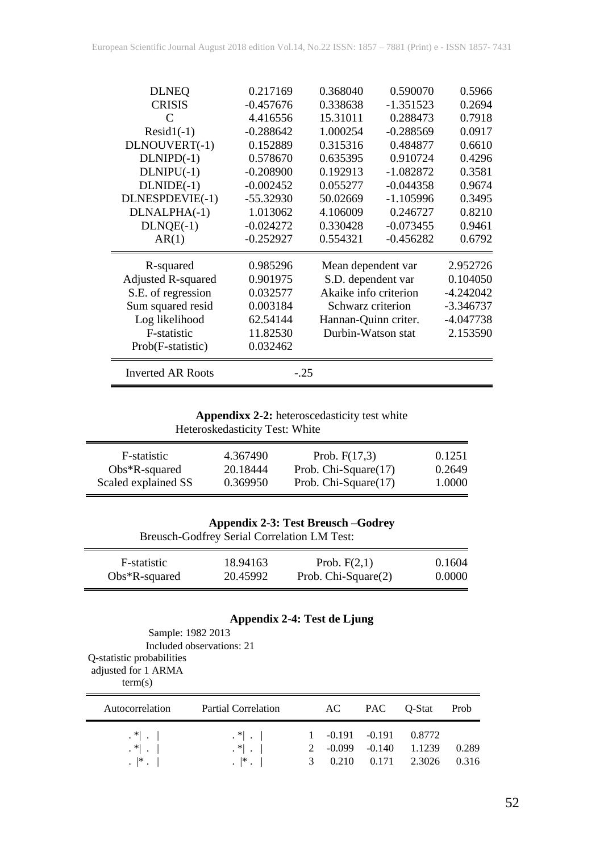| <b>DLNEQ</b>             | 0.217169    | 0.368040              | 0.590070    | 0.5966      |
|--------------------------|-------------|-----------------------|-------------|-------------|
| <b>CRISIS</b>            | $-0.457676$ | 0.338638              | $-1.351523$ | 0.2694      |
| C                        | 4.416556    | 15.31011              | 0.288473    | 0.7918      |
| $Resid1(-1)$             | $-0.288642$ | 1.000254              | $-0.288569$ | 0.0917      |
| DLNOUVERT(-1)            | 0.152889    | 0.315316              | 0.484877    | 0.6610      |
| $DLNIPD(-1)$             | 0.578670    | 0.635395              | 0.910724    | 0.4296      |
| $DLNIPU(-1)$             | $-0.208900$ | 0.192913              | $-1.082872$ | 0.3581      |
| $DLNIDE(-1)$             | $-0.002452$ | 0.055277              | $-0.044358$ | 0.9674      |
| DLNESPDEVIE(-1)          | $-55.32930$ | 50.02669              | $-1.105996$ | 0.3495      |
| DLNALPHA(-1)             | 1.013062    | 4.106009              | 0.246727    | 0.8210      |
| $DLNQE(-1)$              | $-0.024272$ | 0.330428              | $-0.073455$ | 0.9461      |
| AR(1)                    | $-0.252927$ | 0.554321              | $-0.456282$ | 0.6792      |
| R-squared                | 0.985296    | Mean dependent var    |             | 2.952726    |
| Adjusted R-squared       | 0.901975    | S.D. dependent var    |             | 0.104050    |
| S.E. of regression       | 0.032577    | Akaike info criterion |             | $-4.242042$ |
| Sum squared resid        | 0.003184    | Schwarz criterion     |             | $-3.346737$ |
| Log likelihood           | 62.54144    | Hannan-Quinn criter.  |             | $-4.047738$ |
| F-statistic              | 11.82530    | Durbin-Watson stat    |             | 2.153590    |
| Prob(F-statistic)        | 0.032462    |                       |             |             |
| <b>Inverted AR Roots</b> | $-.25$      |                       |             |             |

**Appendixx 2-2:** heteroscedasticity test white Heteroskedasticity Test: White

| F-statistic         | 4.367490 | Prob. $F(17,3)$         | 0.1251 |
|---------------------|----------|-------------------------|--------|
| $Obs*R$ -squared    | 20.18444 | Prob. Chi-Square $(17)$ | 0.2649 |
| Scaled explained SS | 0.369950 | Prob. Chi-Square(17)    | 1.0000 |

| <b>Appendix 2-3: Test Breusch -Godrey</b> |  |  |
|-------------------------------------------|--|--|
|-------------------------------------------|--|--|

|                  | Breusch-Godfrey Serial Correlation LM Test: |                     |        |
|------------------|---------------------------------------------|---------------------|--------|
| F-statistic      | 18.94163                                    | Prob. $F(2,1)$      | 0.1604 |
| $Obs*R$ -squared | 20.45992                                    | Prob. Chi-Square(2) | 0.0000 |

#### **Appendix 2-4: Test de Ljung**

Sample: 1982 2013 Included observations: 21 Q-statistic probabilities adjusted for 1 ARMA term(s)

| Autocorrelation                                                                        | Partial Correlation                                                                 |                   | AC                                   | PAC             | Q-Stat                     | Prob           |
|----------------------------------------------------------------------------------------|-------------------------------------------------------------------------------------|-------------------|--------------------------------------|-----------------|----------------------------|----------------|
| $\cdot$ $\uparrow$ $\cdot$ $\mid$<br>$\mathbf{A}^*$<br>$\cdot$ $\cdot$ $\cdot$ $\cdot$ | $\mathcal{N}$ . $\mathcal{N}$<br>$\mathcal{F}$ .<br>$\cdot$ $\cdot$ $\cdot$ $\cdot$ | $2^{\circ}$<br>3. | $1 -0.191 -0.191$<br>-0.099<br>0.210 | -0.140<br>0.171 | 0.8772<br>1.1239<br>2.3026 | 0.289<br>0.316 |